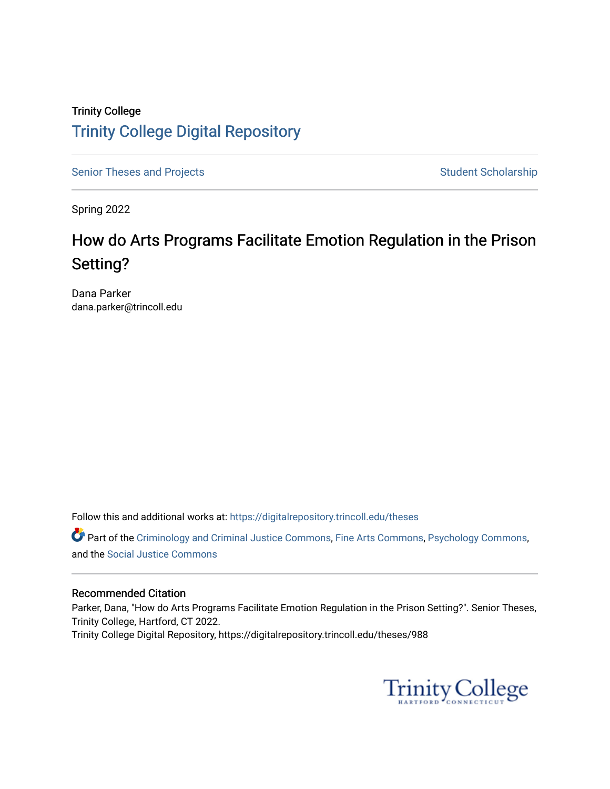# Trinity College [Trinity College Digital Repository](https://digitalrepository.trincoll.edu/)

[Senior Theses and Projects](https://digitalrepository.trincoll.edu/theses) Senior Student Scholarship

Spring 2022

# How do Arts Programs Facilitate Emotion Regulation in the Prison Setting?

Dana Parker dana.parker@trincoll.edu

Follow this and additional works at: [https://digitalrepository.trincoll.edu/theses](https://digitalrepository.trincoll.edu/theses?utm_source=digitalrepository.trincoll.edu%2Ftheses%2F988&utm_medium=PDF&utm_campaign=PDFCoverPages)

Part of the [Criminology and Criminal Justice Commons](https://network.bepress.com/hgg/discipline/367?utm_source=digitalrepository.trincoll.edu%2Ftheses%2F988&utm_medium=PDF&utm_campaign=PDFCoverPages), [Fine Arts Commons](https://network.bepress.com/hgg/discipline/1141?utm_source=digitalrepository.trincoll.edu%2Ftheses%2F988&utm_medium=PDF&utm_campaign=PDFCoverPages), [Psychology Commons](https://network.bepress.com/hgg/discipline/404?utm_source=digitalrepository.trincoll.edu%2Ftheses%2F988&utm_medium=PDF&utm_campaign=PDFCoverPages), and the [Social Justice Commons](https://network.bepress.com/hgg/discipline/1432?utm_source=digitalrepository.trincoll.edu%2Ftheses%2F988&utm_medium=PDF&utm_campaign=PDFCoverPages)

# Recommended Citation

Parker, Dana, "How do Arts Programs Facilitate Emotion Regulation in the Prison Setting?". Senior Theses, Trinity College, Hartford, CT 2022. Trinity College Digital Repository, https://digitalrepository.trincoll.edu/theses/988

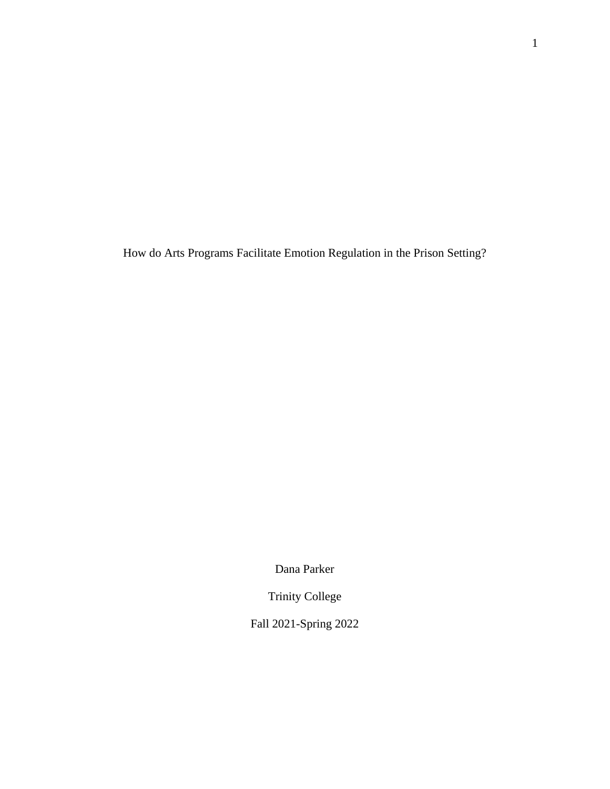How do Arts Programs Facilitate Emotion Regulation in the Prison Setting?

Dana Parker

Trinity College

Fall 2021-Spring 2022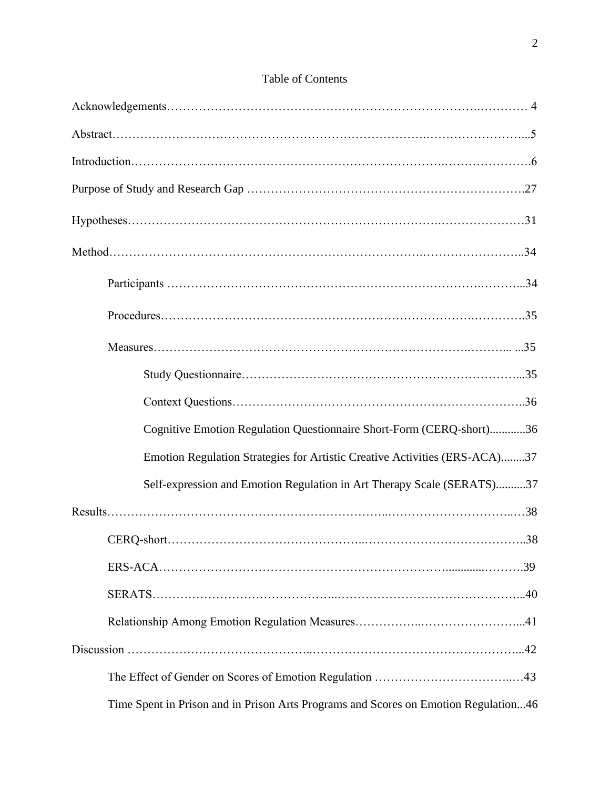# Table of Contents

| Cognitive Emotion Regulation Questionnaire Short-Form (CERQ-short)36                |
|-------------------------------------------------------------------------------------|
| Emotion Regulation Strategies for Artistic Creative Activities (ERS-ACA)37          |
| Self-expression and Emotion Regulation in Art Therapy Scale (SERATS)37              |
|                                                                                     |
|                                                                                     |
|                                                                                     |
|                                                                                     |
|                                                                                     |
|                                                                                     |
|                                                                                     |
| Time Spent in Prison and in Prison Arts Programs and Scores on Emotion Regulation46 |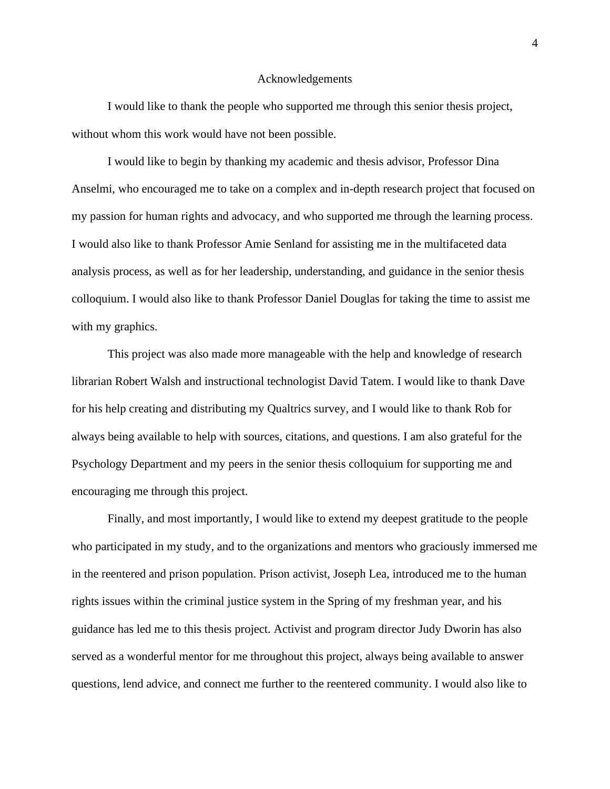#### Acknowledgements

I would like to thank the people who supported me through this senior thesis project, without whom this work would have not been possible.

I would like to begin by thanking my academic and thesis advisor, Professor Dina Anselmi, who encouraged me to take on a complex and in-depth research project that focused on my passion for human rights and advocacy, and who supported me through the learning process. I would also like to thank Professor Amie Senland for assisting me in the multifaceted data analysis process, as well as for her leadership, understanding, and guidance in the senior thesis colloquium. I would also like to thank Professor Daniel Douglas for taking the time to assist me with my graphics.

This project was also made more manageable with the help and knowledge of research librarian Robert Walsh and instructional technologist David Tatem. I would like to thank Dave for his help creating and distributing my Qualtrics survey, and I would like to thank Rob for always being available to help with sources, citations, and questions. I am also grateful for the Psychology Department and my peers in the senior thesis colloquium for supporting me and encouraging me through this project.

Finally, and most importantly, I would like to extend my deepest gratitude to the people who participated in my study, and to the organizations and mentors who graciously immersed me in the reentered and prison population. Prison activist, Joseph Lea, introduced me to the human rights issues within the criminal justice system in the Spring of my freshman year, and his guidance has led me to this thesis project. Activist and program director Judy Dworin has also served as a wonderful mentor for me throughout this project, always being available to answer questions, lend advice, and connect me further to the reentered community. I would also like to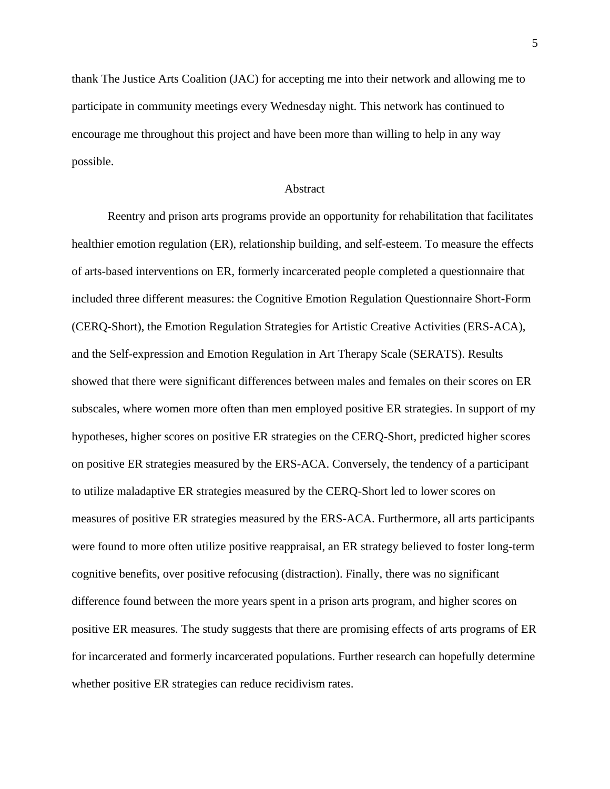thank The Justice Arts Coalition (JAC) for accepting me into their network and allowing me to participate in community meetings every Wednesday night. This network has continued to encourage me throughout this project and have been more than willing to help in any way possible.

#### Abstract

Reentry and prison arts programs provide an opportunity for rehabilitation that facilitates healthier emotion regulation (ER), relationship building, and self-esteem. To measure the effects of arts-based interventions on ER, formerly incarcerated people completed a questionnaire that included three different measures: the Cognitive Emotion Regulation Questionnaire Short-Form (CERQ-Short), the Emotion Regulation Strategies for Artistic Creative Activities (ERS-ACA), and the Self-expression and Emotion Regulation in Art Therapy Scale (SERATS). Results showed that there were significant differences between males and females on their scores on ER subscales, where women more often than men employed positive ER strategies. In support of my hypotheses, higher scores on positive ER strategies on the CERQ-Short, predicted higher scores on positive ER strategies measured by the ERS-ACA. Conversely, the tendency of a participant to utilize maladaptive ER strategies measured by the CERQ-Short led to lower scores on measures of positive ER strategies measured by the ERS-ACA. Furthermore, all arts participants were found to more often utilize positive reappraisal, an ER strategy believed to foster long-term cognitive benefits, over positive refocusing (distraction). Finally, there was no significant difference found between the more years spent in a prison arts program, and higher scores on positive ER measures. The study suggests that there are promising effects of arts programs of ER for incarcerated and formerly incarcerated populations. Further research can hopefully determine whether positive ER strategies can reduce recidivism rates.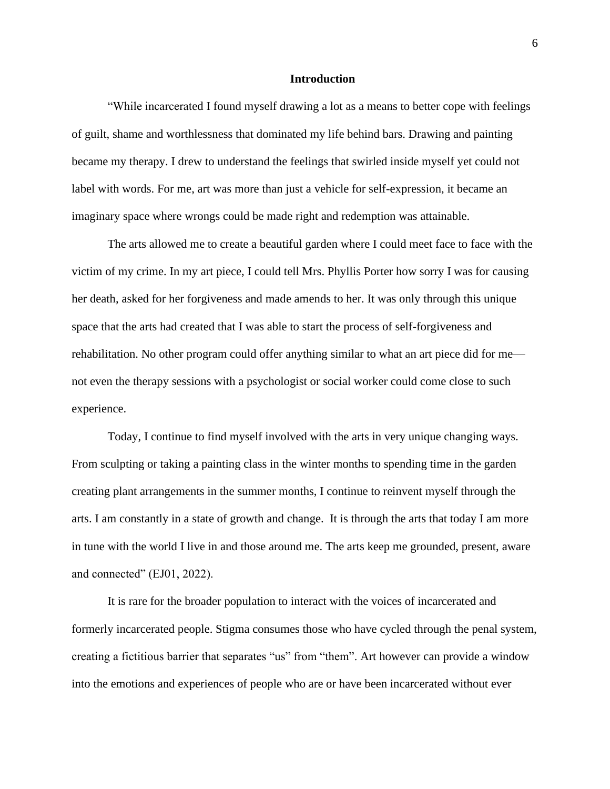#### **Introduction**

"While incarcerated I found myself drawing a lot as a means to better cope with feelings of guilt, shame and worthlessness that dominated my life behind bars. Drawing and painting became my therapy. I drew to understand the feelings that swirled inside myself yet could not label with words. For me, art was more than just a vehicle for self-expression, it became an imaginary space where wrongs could be made right and redemption was attainable.

The arts allowed me to create a beautiful garden where I could meet face to face with the victim of my crime. In my art piece, I could tell Mrs. Phyllis Porter how sorry I was for causing her death, asked for her forgiveness and made amends to her. It was only through this unique space that the arts had created that I was able to start the process of self-forgiveness and rehabilitation. No other program could offer anything similar to what an art piece did for me not even the therapy sessions with a psychologist or social worker could come close to such experience.

Today, I continue to find myself involved with the arts in very unique changing ways. From sculpting or taking a painting class in the winter months to spending time in the garden creating plant arrangements in the summer months, I continue to reinvent myself through the arts. I am constantly in a state of growth and change. It is through the arts that today I am more in tune with the world I live in and those around me. The arts keep me grounded, present, aware and connected" (EJ01, 2022).

It is rare for the broader population to interact with the voices of incarcerated and formerly incarcerated people. Stigma consumes those who have cycled through the penal system, creating a fictitious barrier that separates "us" from "them". Art however can provide a window into the emotions and experiences of people who are or have been incarcerated without ever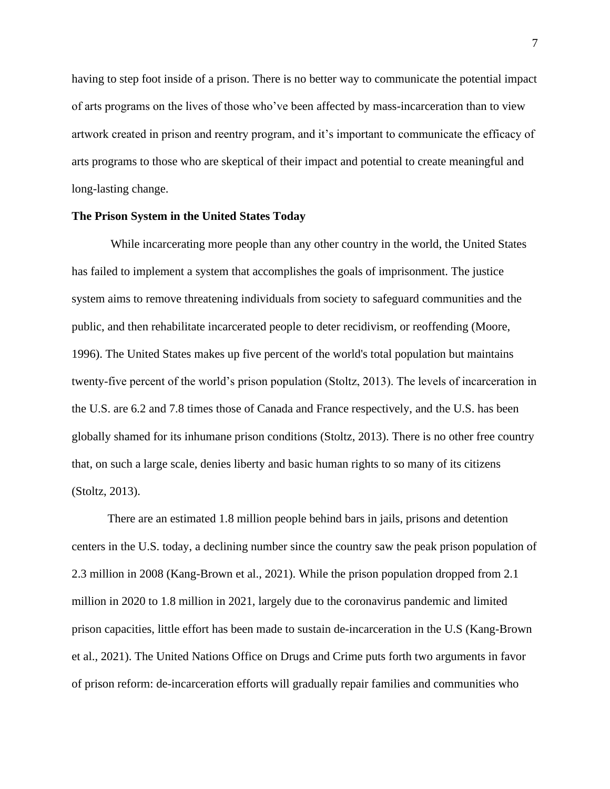having to step foot inside of a prison. There is no better way to communicate the potential impact of arts programs on the lives of those who've been affected by mass-incarceration than to view artwork created in prison and reentry program, and it's important to communicate the efficacy of arts programs to those who are skeptical of their impact and potential to create meaningful and long-lasting change.

## **The Prison System in the United States Today**

While incarcerating more people than any other country in the world, the United States has failed to implement a system that accomplishes the goals of imprisonment. The justice system aims to remove threatening individuals from society to safeguard communities and the public, and then rehabilitate incarcerated people to deter recidivism, or reoffending (Moore, 1996). The United States makes up five percent of the world's total population but maintains twenty-five percent of the world's prison population (Stoltz, 2013). The levels of incarceration in the U.S. are 6.2 and 7.8 times those of Canada and France respectively, and the U.S. has been globally shamed for its inhumane prison conditions (Stoltz, 2013). There is no other free country that, on such a large scale, denies liberty and basic human rights to so many of its citizens (Stoltz, 2013).

There are an estimated 1.8 million people behind bars in jails, prisons and detention centers in the U.S. today, a declining number since the country saw the peak prison population of 2.3 million in 2008 (Kang-Brown et al., 2021). While the prison population dropped from 2.1 million in 2020 to 1.8 million in 2021, largely due to the coronavirus pandemic and limited prison capacities, little effort has been made to sustain de-incarceration in the U.S (Kang-Brown et al., 2021). The United Nations Office on Drugs and Crime puts forth two arguments in favor of prison reform: de-incarceration efforts will gradually repair families and communities who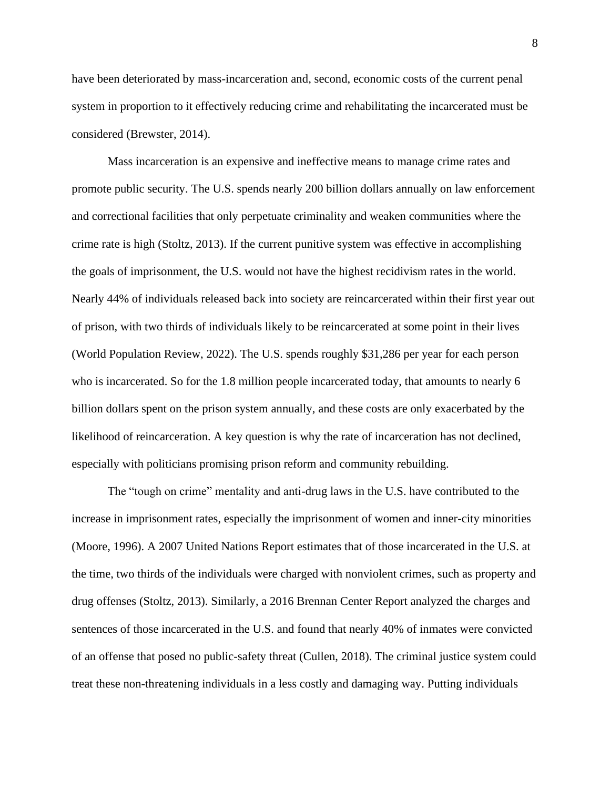have been deteriorated by mass-incarceration and, second, economic costs of the current penal system in proportion to it effectively reducing crime and rehabilitating the incarcerated must be considered (Brewster, 2014).

Mass incarceration is an expensive and ineffective means to manage crime rates and promote public security. The U.S. spends nearly 200 billion dollars annually on law enforcement and correctional facilities that only perpetuate criminality and weaken communities where the crime rate is high (Stoltz, 2013). If the current punitive system was effective in accomplishing the goals of imprisonment, the U.S. would not have the highest recidivism rates in the world. Nearly 44% of individuals released back into society are reincarcerated within their first year out of prison, with two thirds of individuals likely to be reincarcerated at some point in their lives (World Population Review, 2022). The U.S. spends roughly \$31,286 per year for each person who is incarcerated. So for the 1.8 million people incarcerated today, that amounts to nearly 6 billion dollars spent on the prison system annually, and these costs are only exacerbated by the likelihood of reincarceration. A key question is why the rate of incarceration has not declined, especially with politicians promising prison reform and community rebuilding.

The "tough on crime" mentality and anti-drug laws in the U.S. have contributed to the increase in imprisonment rates, especially the imprisonment of women and inner-city minorities (Moore, 1996). A 2007 United Nations Report estimates that of those incarcerated in the U.S. at the time, two thirds of the individuals were charged with nonviolent crimes, such as property and drug offenses (Stoltz, 2013). Similarly, a 2016 Brennan Center Report analyzed the charges and sentences of those incarcerated in the U.S. and found that nearly 40% of inmates were convicted of an offense that posed no public-safety threat (Cullen, 2018). The criminal justice system could treat these non-threatening individuals in a less costly and damaging way. Putting individuals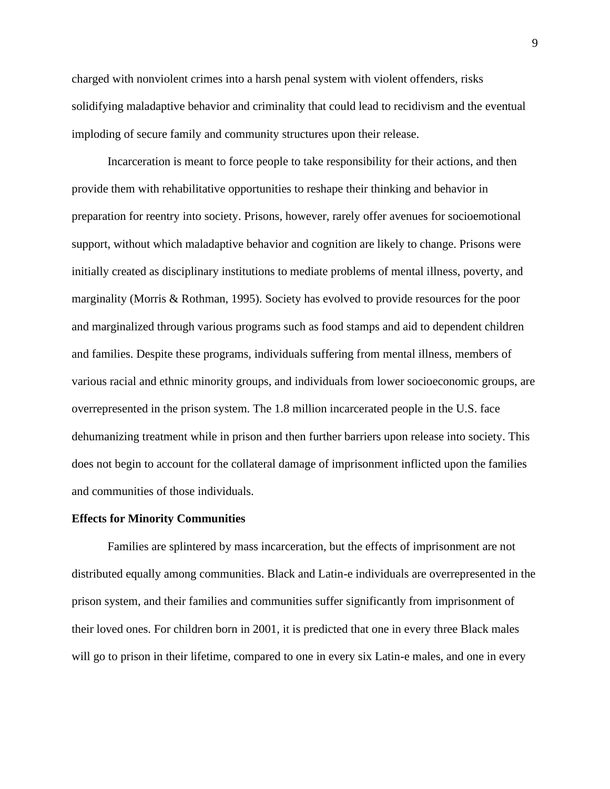charged with nonviolent crimes into a harsh penal system with violent offenders, risks solidifying maladaptive behavior and criminality that could lead to recidivism and the eventual imploding of secure family and community structures upon their release.

Incarceration is meant to force people to take responsibility for their actions, and then provide them with rehabilitative opportunities to reshape their thinking and behavior in preparation for reentry into society. Prisons, however, rarely offer avenues for socioemotional support, without which maladaptive behavior and cognition are likely to change. Prisons were initially created as disciplinary institutions to mediate problems of mental illness, poverty, and marginality (Morris & Rothman, 1995). Society has evolved to provide resources for the poor and marginalized through various programs such as food stamps and aid to dependent children and families. Despite these programs, individuals suffering from mental illness, members of various racial and ethnic minority groups, and individuals from lower socioeconomic groups, are overrepresented in the prison system. The 1.8 million incarcerated people in the U.S. face dehumanizing treatment while in prison and then further barriers upon release into society. This does not begin to account for the collateral damage of imprisonment inflicted upon the families and communities of those individuals.

#### **Effects for Minority Communities**

Families are splintered by mass incarceration, but the effects of imprisonment are not distributed equally among communities. Black and Latin-e individuals are overrepresented in the prison system, and their families and communities suffer significantly from imprisonment of their loved ones. For children born in 2001, it is predicted that one in every three Black males will go to prison in their lifetime, compared to one in every six Latin-e males, and one in every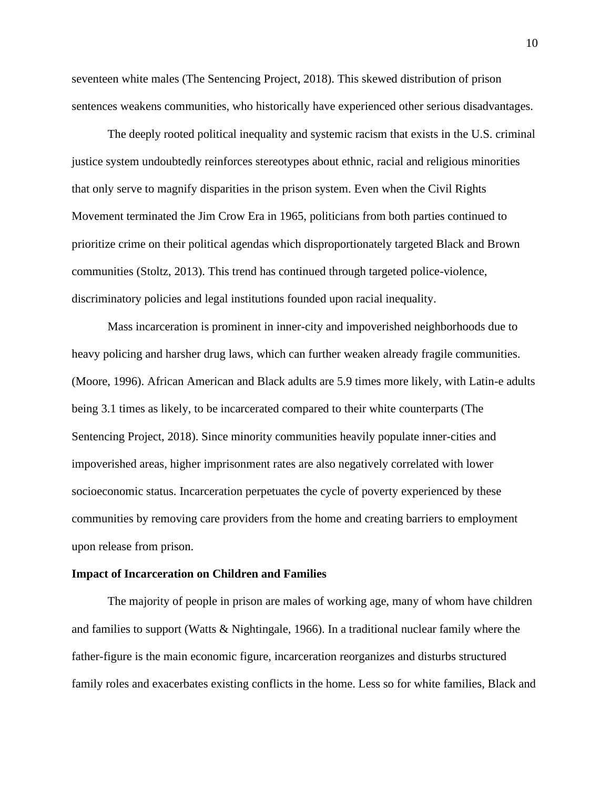seventeen white males (The Sentencing Project, 2018). This skewed distribution of prison sentences weakens communities, who historically have experienced other serious disadvantages.

The deeply rooted political inequality and systemic racism that exists in the U.S. criminal justice system undoubtedly reinforces stereotypes about ethnic, racial and religious minorities that only serve to magnify disparities in the prison system. Even when the Civil Rights Movement terminated the Jim Crow Era in 1965, politicians from both parties continued to prioritize crime on their political agendas which disproportionately targeted Black and Brown communities (Stoltz, 2013). This trend has continued through targeted police-violence, discriminatory policies and legal institutions founded upon racial inequality.

Mass incarceration is prominent in inner-city and impoverished neighborhoods due to heavy policing and harsher drug laws, which can further weaken already fragile communities. (Moore, 1996). African American and Black adults are 5.9 times more likely, with Latin-e adults being 3.1 times as likely, to be incarcerated compared to their white counterparts (The Sentencing Project, 2018). Since minority communities heavily populate inner-cities and impoverished areas, higher imprisonment rates are also negatively correlated with lower socioeconomic status. Incarceration perpetuates the cycle of poverty experienced by these communities by removing care providers from the home and creating barriers to employment upon release from prison.

#### **Impact of Incarceration on Children and Families**

The majority of people in prison are males of working age, many of whom have children and families to support (Watts & Nightingale, 1966). In a traditional nuclear family where the father-figure is the main economic figure, incarceration reorganizes and disturbs structured family roles and exacerbates existing conflicts in the home. Less so for white families, Black and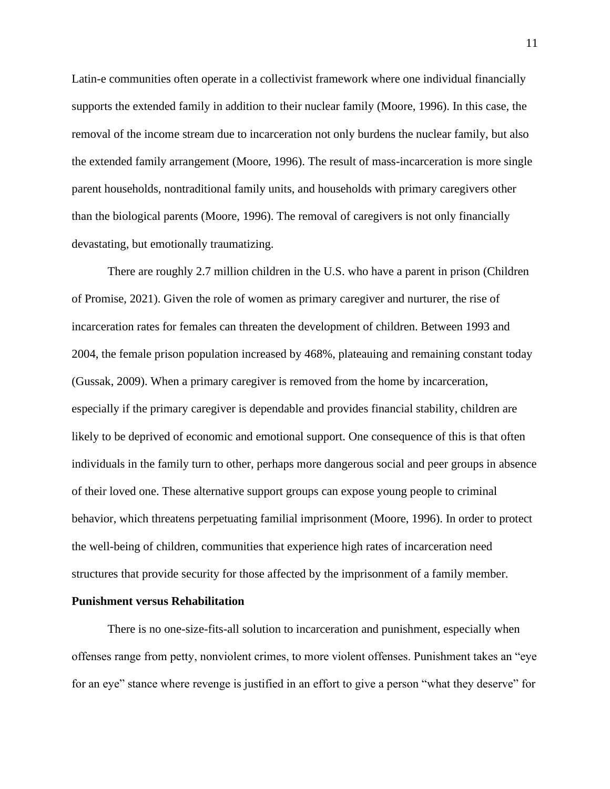Latin-e communities often operate in a collectivist framework where one individual financially supports the extended family in addition to their nuclear family (Moore, 1996). In this case, the removal of the income stream due to incarceration not only burdens the nuclear family, but also the extended family arrangement (Moore, 1996). The result of mass-incarceration is more single parent households, nontraditional family units, and households with primary caregivers other than the biological parents (Moore, 1996). The removal of caregivers is not only financially devastating, but emotionally traumatizing.

There are roughly 2.7 million children in the U.S. who have a parent in prison (Children of Promise, 2021). Given the role of women as primary caregiver and nurturer, the rise of incarceration rates for females can threaten the development of children. Between 1993 and 2004, the female prison population increased by 468%, plateauing and remaining constant today (Gussak, 2009). When a primary caregiver is removed from the home by incarceration, especially if the primary caregiver is dependable and provides financial stability, children are likely to be deprived of economic and emotional support. One consequence of this is that often individuals in the family turn to other, perhaps more dangerous social and peer groups in absence of their loved one. These alternative support groups can expose young people to criminal behavior, which threatens perpetuating familial imprisonment (Moore, 1996). In order to protect the well-being of children, communities that experience high rates of incarceration need structures that provide security for those affected by the imprisonment of a family member.

#### **Punishment versus Rehabilitation**

There is no one-size-fits-all solution to incarceration and punishment, especially when offenses range from petty, nonviolent crimes, to more violent offenses. Punishment takes an "eye for an eye" stance where revenge is justified in an effort to give a person "what they deserve" for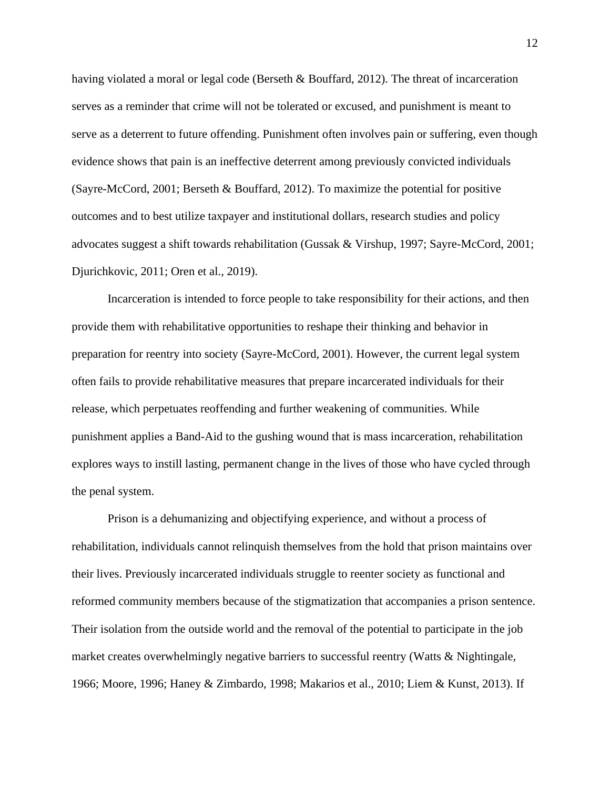having violated a moral or legal code (Berseth & Bouffard, 2012). The threat of incarceration serves as a reminder that crime will not be tolerated or excused, and punishment is meant to serve as a deterrent to future offending. Punishment often involves pain or suffering, even though evidence shows that pain is an ineffective deterrent among previously convicted individuals (Sayre-McCord, 2001; Berseth & Bouffard, 2012). To maximize the potential for positive outcomes and to best utilize taxpayer and institutional dollars, research studies and policy advocates suggest a shift towards rehabilitation (Gussak & Virshup, 1997; Sayre-McCord, 2001; Djurichkovic, 2011; Oren et al., 2019).

Incarceration is intended to force people to take responsibility for their actions, and then provide them with rehabilitative opportunities to reshape their thinking and behavior in preparation for reentry into society (Sayre-McCord, 2001). However, the current legal system often fails to provide rehabilitative measures that prepare incarcerated individuals for their release, which perpetuates reoffending and further weakening of communities. While punishment applies a Band-Aid to the gushing wound that is mass incarceration, rehabilitation explores ways to instill lasting, permanent change in the lives of those who have cycled through the penal system.

Prison is a dehumanizing and objectifying experience, and without a process of rehabilitation, individuals cannot relinquish themselves from the hold that prison maintains over their lives. Previously incarcerated individuals struggle to reenter society as functional and reformed community members because of the stigmatization that accompanies a prison sentence. Their isolation from the outside world and the removal of the potential to participate in the job market creates overwhelmingly negative barriers to successful reentry (Watts & Nightingale, 1966; Moore, 1996; Haney & Zimbardo, 1998; Makarios et al., 2010; Liem & Kunst, 2013). If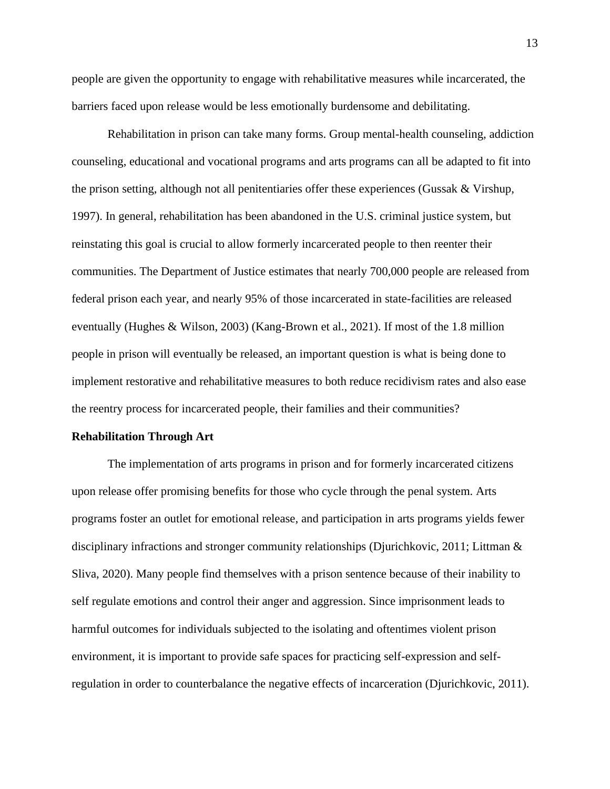people are given the opportunity to engage with rehabilitative measures while incarcerated, the barriers faced upon release would be less emotionally burdensome and debilitating.

Rehabilitation in prison can take many forms. Group mental-health counseling, addiction counseling, educational and vocational programs and arts programs can all be adapted to fit into the prison setting, although not all penitentiaries offer these experiences (Gussak & Virshup, 1997). In general, rehabilitation has been abandoned in the U.S. criminal justice system, but reinstating this goal is crucial to allow formerly incarcerated people to then reenter their communities. The Department of Justice estimates that nearly 700,000 people are released from federal prison each year, and nearly 95% of those incarcerated in state-facilities are released eventually (Hughes & Wilson, 2003) (Kang-Brown et al., 2021). If most of the 1.8 million people in prison will eventually be released, an important question is what is being done to implement restorative and rehabilitative measures to both reduce recidivism rates and also ease the reentry process for incarcerated people, their families and their communities?

#### **Rehabilitation Through Art**

The implementation of arts programs in prison and for formerly incarcerated citizens upon release offer promising benefits for those who cycle through the penal system. Arts programs foster an outlet for emotional release, and participation in arts programs yields fewer disciplinary infractions and stronger community relationships (Djurichkovic, 2011; Littman & Sliva, 2020). Many people find themselves with a prison sentence because of their inability to self regulate emotions and control their anger and aggression. Since imprisonment leads to harmful outcomes for individuals subjected to the isolating and oftentimes violent prison environment, it is important to provide safe spaces for practicing self-expression and selfregulation in order to counterbalance the negative effects of incarceration (Djurichkovic, 2011).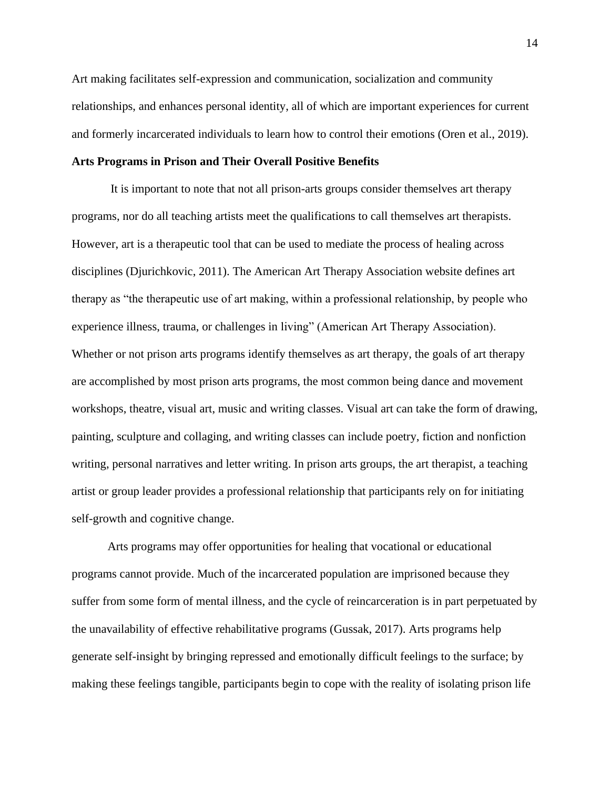Art making facilitates self-expression and communication, socialization and community relationships, and enhances personal identity, all of which are important experiences for current and formerly incarcerated individuals to learn how to control their emotions (Oren et al., 2019).

# **Arts Programs in Prison and Their Overall Positive Benefits**

It is important to note that not all prison-arts groups consider themselves art therapy programs, nor do all teaching artists meet the qualifications to call themselves art therapists. However, art is a therapeutic tool that can be used to mediate the process of healing across disciplines (Djurichkovic, 2011). The American Art Therapy Association website defines art therapy as "the therapeutic use of art making, within a professional relationship, by people who experience illness, trauma, or challenges in living" (American Art Therapy Association). Whether or not prison arts programs identify themselves as art therapy, the goals of art therapy are accomplished by most prison arts programs, the most common being dance and movement workshops, theatre, visual art, music and writing classes. Visual art can take the form of drawing, painting, sculpture and collaging, and writing classes can include poetry, fiction and nonfiction writing, personal narratives and letter writing. In prison arts groups, the art therapist, a teaching artist or group leader provides a professional relationship that participants rely on for initiating self-growth and cognitive change.

Arts programs may offer opportunities for healing that vocational or educational programs cannot provide. Much of the incarcerated population are imprisoned because they suffer from some form of mental illness, and the cycle of reincarceration is in part perpetuated by the unavailability of effective rehabilitative programs (Gussak, 2017). Arts programs help generate self-insight by bringing repressed and emotionally difficult feelings to the surface; by making these feelings tangible, participants begin to cope with the reality of isolating prison life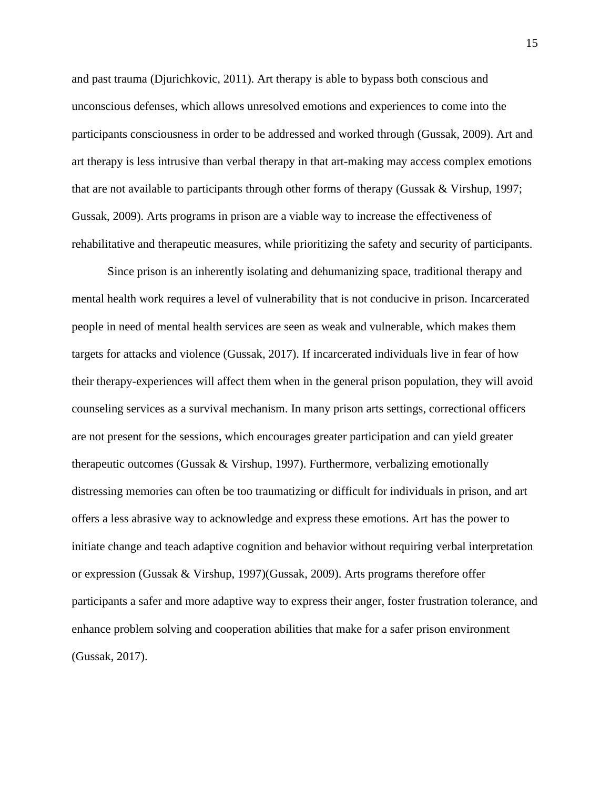and past trauma (Djurichkovic, 2011). Art therapy is able to bypass both conscious and unconscious defenses, which allows unresolved emotions and experiences to come into the participants consciousness in order to be addressed and worked through (Gussak, 2009). Art and art therapy is less intrusive than verbal therapy in that art-making may access complex emotions that are not available to participants through other forms of therapy (Gussak & Virshup, 1997; Gussak, 2009). Arts programs in prison are a viable way to increase the effectiveness of rehabilitative and therapeutic measures, while prioritizing the safety and security of participants.

Since prison is an inherently isolating and dehumanizing space, traditional therapy and mental health work requires a level of vulnerability that is not conducive in prison. Incarcerated people in need of mental health services are seen as weak and vulnerable, which makes them targets for attacks and violence (Gussak, 2017). If incarcerated individuals live in fear of how their therapy-experiences will affect them when in the general prison population, they will avoid counseling services as a survival mechanism. In many prison arts settings, correctional officers are not present for the sessions, which encourages greater participation and can yield greater therapeutic outcomes (Gussak & Virshup, 1997). Furthermore, verbalizing emotionally distressing memories can often be too traumatizing or difficult for individuals in prison, and art offers a less abrasive way to acknowledge and express these emotions. Art has the power to initiate change and teach adaptive cognition and behavior without requiring verbal interpretation or expression (Gussak & Virshup, 1997)(Gussak, 2009). Arts programs therefore offer participants a safer and more adaptive way to express their anger, foster frustration tolerance, and enhance problem solving and cooperation abilities that make for a safer prison environment (Gussak, 2017).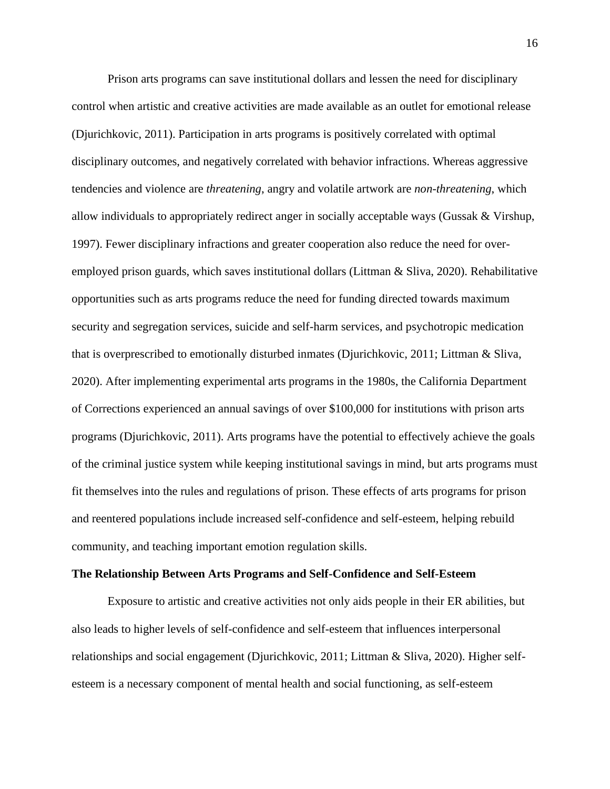Prison arts programs can save institutional dollars and lessen the need for disciplinary control when artistic and creative activities are made available as an outlet for emotional release (Djurichkovic, 2011). Participation in arts programs is positively correlated with optimal disciplinary outcomes, and negatively correlated with behavior infractions. Whereas aggressive tendencies and violence are *threatening*, angry and volatile artwork are *non-threatening*, which allow individuals to appropriately redirect anger in socially acceptable ways (Gussak & Virshup, 1997). Fewer disciplinary infractions and greater cooperation also reduce the need for overemployed prison guards, which saves institutional dollars (Littman & Sliva, 2020). Rehabilitative opportunities such as arts programs reduce the need for funding directed towards maximum security and segregation services, suicide and self-harm services, and psychotropic medication that is overprescribed to emotionally disturbed inmates (Djurichkovic, 2011; Littman & Sliva, 2020). After implementing experimental arts programs in the 1980s, the California Department of Corrections experienced an annual savings of over \$100,000 for institutions with prison arts programs (Djurichkovic, 2011). Arts programs have the potential to effectively achieve the goals of the criminal justice system while keeping institutional savings in mind, but arts programs must fit themselves into the rules and regulations of prison. These effects of arts programs for prison and reentered populations include increased self-confidence and self-esteem, helping rebuild community, and teaching important emotion regulation skills.

#### **The Relationship Between Arts Programs and Self-Confidence and Self-Esteem**

Exposure to artistic and creative activities not only aids people in their ER abilities, but also leads to higher levels of self-confidence and self-esteem that influences interpersonal relationships and social engagement (Djurichkovic, 2011; Littman & Sliva, 2020). Higher selfesteem is a necessary component of mental health and social functioning, as self-esteem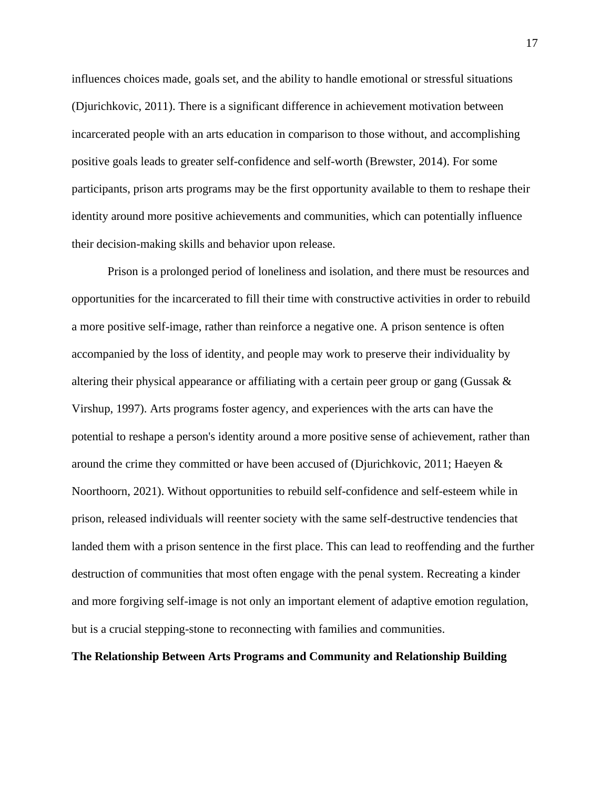influences choices made, goals set, and the ability to handle emotional or stressful situations (Djurichkovic, 2011). There is a significant difference in achievement motivation between incarcerated people with an arts education in comparison to those without, and accomplishing positive goals leads to greater self-confidence and self-worth (Brewster, 2014). For some participants, prison arts programs may be the first opportunity available to them to reshape their identity around more positive achievements and communities, which can potentially influence their decision-making skills and behavior upon release.

Prison is a prolonged period of loneliness and isolation, and there must be resources and opportunities for the incarcerated to fill their time with constructive activities in order to rebuild a more positive self-image, rather than reinforce a negative one. A prison sentence is often accompanied by the loss of identity, and people may work to preserve their individuality by altering their physical appearance or affiliating with a certain peer group or gang (Gussak  $\&$ Virshup, 1997). Arts programs foster agency, and experiences with the arts can have the potential to reshape a person's identity around a more positive sense of achievement, rather than around the crime they committed or have been accused of (Djurichkovic, 2011; Haeyen & Noorthoorn, 2021). Without opportunities to rebuild self-confidence and self-esteem while in prison, released individuals will reenter society with the same self-destructive tendencies that landed them with a prison sentence in the first place. This can lead to reoffending and the further destruction of communities that most often engage with the penal system. Recreating a kinder and more forgiving self-image is not only an important element of adaptive emotion regulation, but is a crucial stepping-stone to reconnecting with families and communities.

# **The Relationship Between Arts Programs and Community and Relationship Building**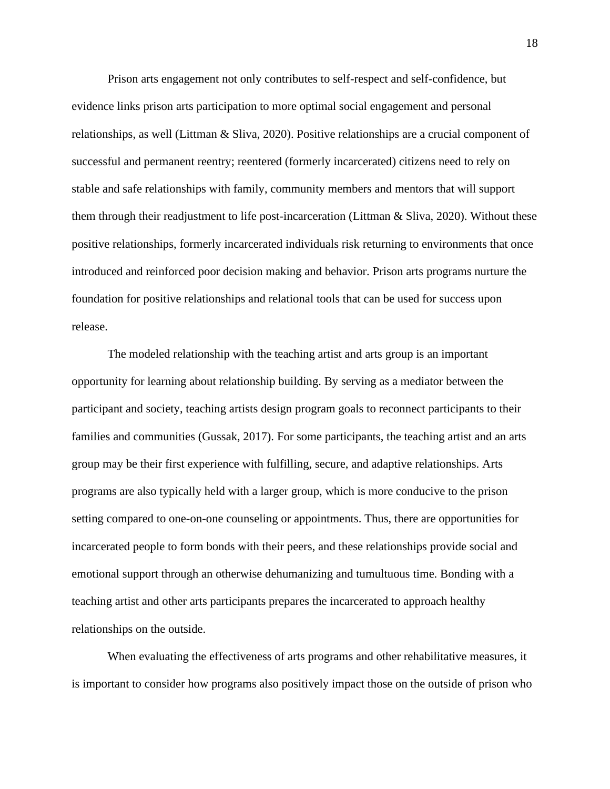Prison arts engagement not only contributes to self-respect and self-confidence, but evidence links prison arts participation to more optimal social engagement and personal relationships, as well (Littman & Sliva, 2020). Positive relationships are a crucial component of successful and permanent reentry; reentered (formerly incarcerated) citizens need to rely on stable and safe relationships with family, community members and mentors that will support them through their readjustment to life post-incarceration (Littman & Sliva, 2020). Without these positive relationships, formerly incarcerated individuals risk returning to environments that once introduced and reinforced poor decision making and behavior. Prison arts programs nurture the foundation for positive relationships and relational tools that can be used for success upon release.

The modeled relationship with the teaching artist and arts group is an important opportunity for learning about relationship building. By serving as a mediator between the participant and society, teaching artists design program goals to reconnect participants to their families and communities (Gussak, 2017). For some participants, the teaching artist and an arts group may be their first experience with fulfilling, secure, and adaptive relationships. Arts programs are also typically held with a larger group, which is more conducive to the prison setting compared to one-on-one counseling or appointments. Thus, there are opportunities for incarcerated people to form bonds with their peers, and these relationships provide social and emotional support through an otherwise dehumanizing and tumultuous time. Bonding with a teaching artist and other arts participants prepares the incarcerated to approach healthy relationships on the outside.

When evaluating the effectiveness of arts programs and other rehabilitative measures, it is important to consider how programs also positively impact those on the outside of prison who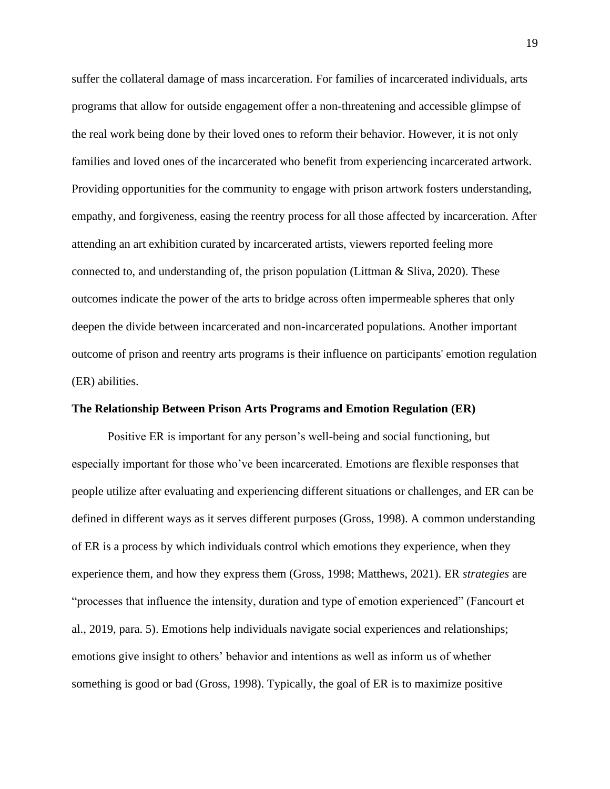suffer the collateral damage of mass incarceration. For families of incarcerated individuals, arts programs that allow for outside engagement offer a non-threatening and accessible glimpse of the real work being done by their loved ones to reform their behavior. However, it is not only families and loved ones of the incarcerated who benefit from experiencing incarcerated artwork. Providing opportunities for the community to engage with prison artwork fosters understanding, empathy, and forgiveness, easing the reentry process for all those affected by incarceration. After attending an art exhibition curated by incarcerated artists, viewers reported feeling more connected to, and understanding of, the prison population (Littman  $\&$  Sliva, 2020). These outcomes indicate the power of the arts to bridge across often impermeable spheres that only deepen the divide between incarcerated and non-incarcerated populations. Another important outcome of prison and reentry arts programs is their influence on participants' emotion regulation (ER) abilities.

#### **The Relationship Between Prison Arts Programs and Emotion Regulation (ER)**

Positive ER is important for any person's well-being and social functioning, but especially important for those who've been incarcerated. Emotions are flexible responses that people utilize after evaluating and experiencing different situations or challenges, and ER can be defined in different ways as it serves different purposes (Gross, 1998). A common understanding of ER is a process by which individuals control which emotions they experience, when they experience them, and how they express them (Gross, 1998; Matthews, 2021). ER *strategies* are "processes that influence the intensity, duration and type of emotion experienced" (Fancourt et al., 2019, para. 5). Emotions help individuals navigate social experiences and relationships; emotions give insight to others' behavior and intentions as well as inform us of whether something is good or bad (Gross, 1998). Typically, the goal of ER is to maximize positive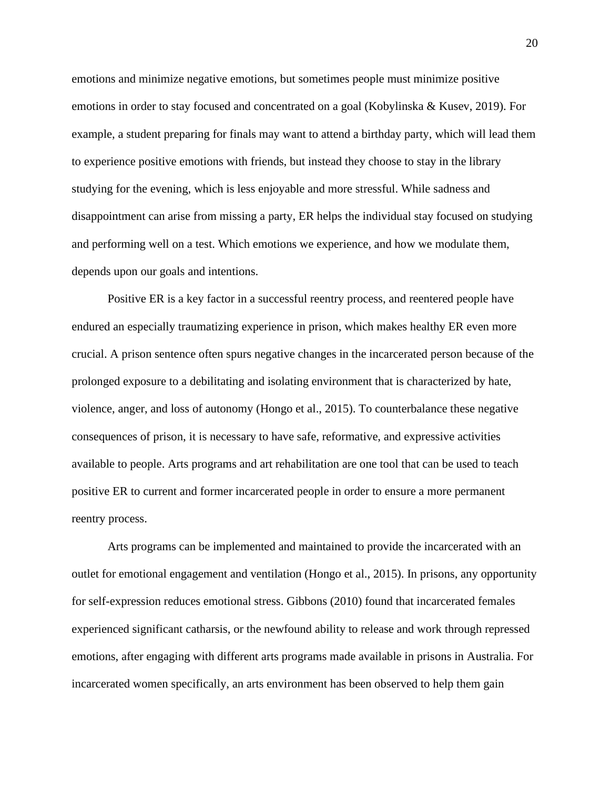emotions and minimize negative emotions, but sometimes people must minimize positive emotions in order to stay focused and concentrated on a goal (Kobylinska & Kusev, 2019). For example, a student preparing for finals may want to attend a birthday party, which will lead them to experience positive emotions with friends, but instead they choose to stay in the library studying for the evening, which is less enjoyable and more stressful. While sadness and disappointment can arise from missing a party, ER helps the individual stay focused on studying and performing well on a test. Which emotions we experience, and how we modulate them, depends upon our goals and intentions.

Positive ER is a key factor in a successful reentry process, and reentered people have endured an especially traumatizing experience in prison, which makes healthy ER even more crucial. A prison sentence often spurs negative changes in the incarcerated person because of the prolonged exposure to a debilitating and isolating environment that is characterized by hate, violence, anger, and loss of autonomy (Hongo et al., 2015). To counterbalance these negative consequences of prison, it is necessary to have safe, reformative, and expressive activities available to people. Arts programs and art rehabilitation are one tool that can be used to teach positive ER to current and former incarcerated people in order to ensure a more permanent reentry process.

Arts programs can be implemented and maintained to provide the incarcerated with an outlet for emotional engagement and ventilation (Hongo et al., 2015). In prisons, any opportunity for self-expression reduces emotional stress. Gibbons (2010) found that incarcerated females experienced significant catharsis, or the newfound ability to release and work through repressed emotions, after engaging with different arts programs made available in prisons in Australia. For incarcerated women specifically, an arts environment has been observed to help them gain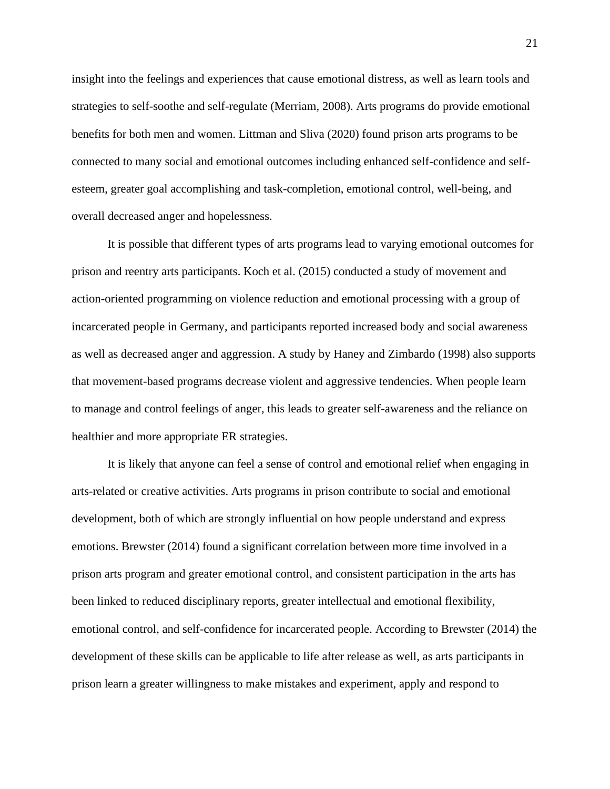insight into the feelings and experiences that cause emotional distress, as well as learn tools and strategies to self-soothe and self-regulate (Merriam, 2008). Arts programs do provide emotional benefits for both men and women. Littman and Sliva (2020) found prison arts programs to be connected to many social and emotional outcomes including enhanced self-confidence and selfesteem, greater goal accomplishing and task-completion, emotional control, well-being, and overall decreased anger and hopelessness.

It is possible that different types of arts programs lead to varying emotional outcomes for prison and reentry arts participants. Koch et al. (2015) conducted a study of movement and action-oriented programming on violence reduction and emotional processing with a group of incarcerated people in Germany, and participants reported increased body and social awareness as well as decreased anger and aggression. A study by Haney and Zimbardo (1998) also supports that movement-based programs decrease violent and aggressive tendencies. When people learn to manage and control feelings of anger, this leads to greater self-awareness and the reliance on healthier and more appropriate ER strategies.

It is likely that anyone can feel a sense of control and emotional relief when engaging in arts-related or creative activities. Arts programs in prison contribute to social and emotional development, both of which are strongly influential on how people understand and express emotions. Brewster (2014) found a significant correlation between more time involved in a prison arts program and greater emotional control, and consistent participation in the arts has been linked to reduced disciplinary reports, greater intellectual and emotional flexibility, emotional control, and self-confidence for incarcerated people. According to Brewster (2014) the development of these skills can be applicable to life after release as well, as arts participants in prison learn a greater willingness to make mistakes and experiment, apply and respond to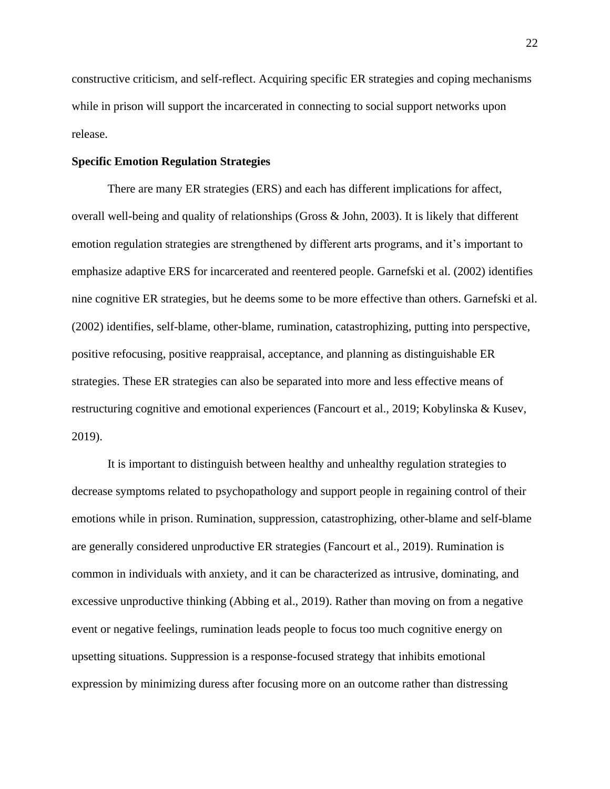constructive criticism, and self-reflect. Acquiring specific ER strategies and coping mechanisms while in prison will support the incarcerated in connecting to social support networks upon release.

# **Specific Emotion Regulation Strategies**

There are many ER strategies (ERS) and each has different implications for affect, overall well-being and quality of relationships (Gross & John, 2003). It is likely that different emotion regulation strategies are strengthened by different arts programs, and it's important to emphasize adaptive ERS for incarcerated and reentered people. Garnefski et al. (2002) identifies nine cognitive ER strategies, but he deems some to be more effective than others. Garnefski et al. (2002) identifies, self-blame, other-blame, rumination, catastrophizing, putting into perspective, positive refocusing, positive reappraisal, acceptance, and planning as distinguishable ER strategies. These ER strategies can also be separated into more and less effective means of restructuring cognitive and emotional experiences (Fancourt et al., 2019; Kobylinska & Kusev, 2019).

It is important to distinguish between healthy and unhealthy regulation strategies to decrease symptoms related to psychopathology and support people in regaining control of their emotions while in prison. Rumination, suppression, catastrophizing, other-blame and self-blame are generally considered unproductive ER strategies (Fancourt et al., 2019). Rumination is common in individuals with anxiety, and it can be characterized as intrusive, dominating, and excessive unproductive thinking (Abbing et al., 2019). Rather than moving on from a negative event or negative feelings, rumination leads people to focus too much cognitive energy on upsetting situations. Suppression is a response-focused strategy that inhibits emotional expression by minimizing duress after focusing more on an outcome rather than distressing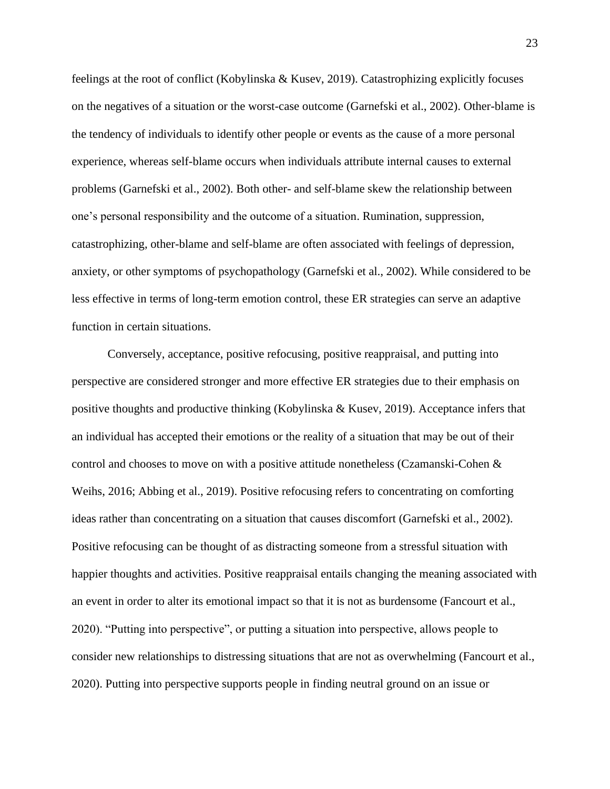feelings at the root of conflict (Kobylinska & Kusev, 2019). Catastrophizing explicitly focuses on the negatives of a situation or the worst-case outcome (Garnefski et al., 2002). Other-blame is the tendency of individuals to identify other people or events as the cause of a more personal experience, whereas self-blame occurs when individuals attribute internal causes to external problems (Garnefski et al., 2002). Both other- and self-blame skew the relationship between one's personal responsibility and the outcome of a situation. Rumination, suppression, catastrophizing, other-blame and self-blame are often associated with feelings of depression, anxiety, or other symptoms of psychopathology (Garnefski et al., 2002). While considered to be less effective in terms of long-term emotion control, these ER strategies can serve an adaptive function in certain situations.

Conversely, acceptance, positive refocusing, positive reappraisal, and putting into perspective are considered stronger and more effective ER strategies due to their emphasis on positive thoughts and productive thinking (Kobylinska & Kusev, 2019). Acceptance infers that an individual has accepted their emotions or the reality of a situation that may be out of their control and chooses to move on with a positive attitude nonetheless (Czamanski-Cohen & Weihs, 2016; Abbing et al., 2019). Positive refocusing refers to concentrating on comforting ideas rather than concentrating on a situation that causes discomfort (Garnefski et al., 2002). Positive refocusing can be thought of as distracting someone from a stressful situation with happier thoughts and activities. Positive reappraisal entails changing the meaning associated with an event in order to alter its emotional impact so that it is not as burdensome (Fancourt et al., 2020). "Putting into perspective", or putting a situation into perspective, allows people to consider new relationships to distressing situations that are not as overwhelming (Fancourt et al., 2020). Putting into perspective supports people in finding neutral ground on an issue or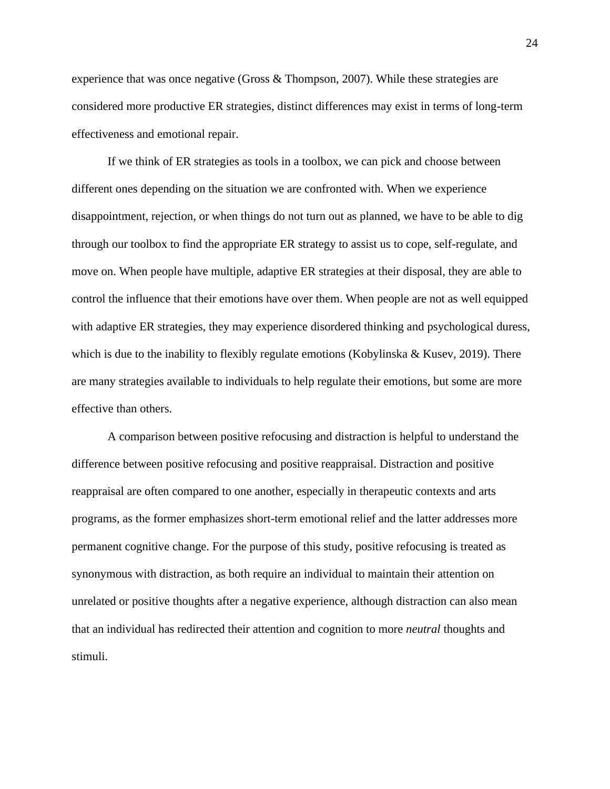experience that was once negative (Gross & Thompson, 2007). While these strategies are considered more productive ER strategies, distinct differences may exist in terms of long-term effectiveness and emotional repair.

If we think of ER strategies as tools in a toolbox, we can pick and choose between different ones depending on the situation we are confronted with. When we experience disappointment, rejection, or when things do not turn out as planned, we have to be able to dig through our toolbox to find the appropriate ER strategy to assist us to cope, self-regulate, and move on. When people have multiple, adaptive ER strategies at their disposal, they are able to control the influence that their emotions have over them. When people are not as well equipped with adaptive ER strategies, they may experience disordered thinking and psychological duress, which is due to the inability to flexibly regulate emotions (Kobylinska  $\&$  Kusev, 2019). There are many strategies available to individuals to help regulate their emotions, but some are more effective than others.

A comparison between positive refocusing and distraction is helpful to understand the difference between positive refocusing and positive reappraisal. Distraction and positive reappraisal are often compared to one another, especially in therapeutic contexts and arts programs, as the former emphasizes short-term emotional relief and the latter addresses more permanent cognitive change. For the purpose of this study, positive refocusing is treated as synonymous with distraction, as both require an individual to maintain their attention on unrelated or positive thoughts after a negative experience, although distraction can also mean that an individual has redirected their attention and cognition to more *neutral* thoughts and stimuli.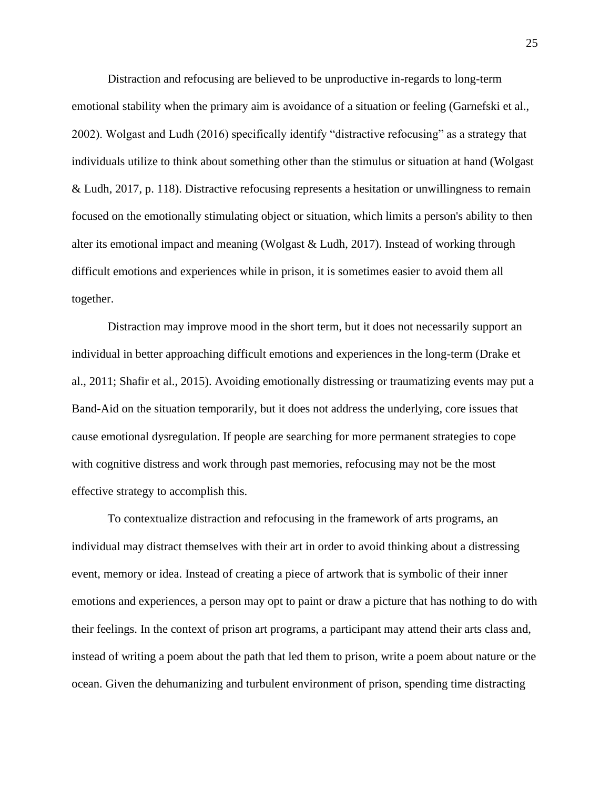Distraction and refocusing are believed to be unproductive in-regards to long-term emotional stability when the primary aim is avoidance of a situation or feeling (Garnefski et al., 2002). Wolgast and Ludh (2016) specifically identify "distractive refocusing" as a strategy that individuals utilize to think about something other than the stimulus or situation at hand (Wolgast & Ludh, 2017, p. 118). Distractive refocusing represents a hesitation or unwillingness to remain focused on the emotionally stimulating object or situation, which limits a person's ability to then alter its emotional impact and meaning (Wolgast & Ludh, 2017). Instead of working through difficult emotions and experiences while in prison, it is sometimes easier to avoid them all together.

Distraction may improve mood in the short term, but it does not necessarily support an individual in better approaching difficult emotions and experiences in the long-term (Drake et al., 2011; Shafir et al., 2015). Avoiding emotionally distressing or traumatizing events may put a Band-Aid on the situation temporarily, but it does not address the underlying, core issues that cause emotional dysregulation. If people are searching for more permanent strategies to cope with cognitive distress and work through past memories, refocusing may not be the most effective strategy to accomplish this.

To contextualize distraction and refocusing in the framework of arts programs, an individual may distract themselves with their art in order to avoid thinking about a distressing event, memory or idea. Instead of creating a piece of artwork that is symbolic of their inner emotions and experiences, a person may opt to paint or draw a picture that has nothing to do with their feelings. In the context of prison art programs, a participant may attend their arts class and, instead of writing a poem about the path that led them to prison, write a poem about nature or the ocean. Given the dehumanizing and turbulent environment of prison, spending time distracting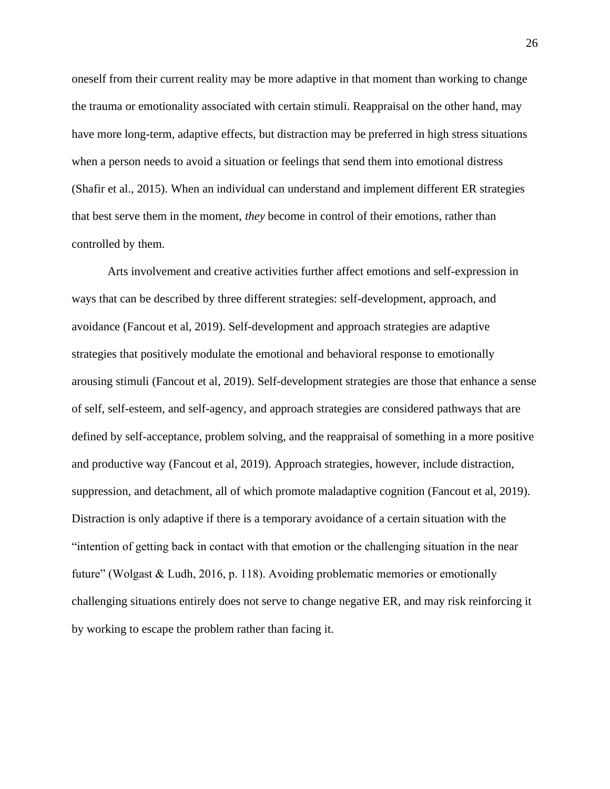oneself from their current reality may be more adaptive in that moment than working to change the trauma or emotionality associated with certain stimuli. Reappraisal on the other hand, may have more long-term, adaptive effects, but distraction may be preferred in high stress situations when a person needs to avoid a situation or feelings that send them into emotional distress (Shafir et al., 2015). When an individual can understand and implement different ER strategies that best serve them in the moment, *they* become in control of their emotions, rather than controlled by them.

Arts involvement and creative activities further affect emotions and self-expression in ways that can be described by three different strategies: self-development, approach, and avoidance (Fancout et al, 2019). Self-development and approach strategies are adaptive strategies that positively modulate the emotional and behavioral response to emotionally arousing stimuli (Fancout et al, 2019). Self-development strategies are those that enhance a sense of self, self-esteem, and self-agency, and approach strategies are considered pathways that are defined by self-acceptance, problem solving, and the reappraisal of something in a more positive and productive way (Fancout et al, 2019). Approach strategies, however, include distraction, suppression, and detachment, all of which promote maladaptive cognition (Fancout et al, 2019). Distraction is only adaptive if there is a temporary avoidance of a certain situation with the "intention of getting back in contact with that emotion or the challenging situation in the near future" (Wolgast & Ludh, 2016, p. 118). Avoiding problematic memories or emotionally challenging situations entirely does not serve to change negative ER, and may risk reinforcing it by working to escape the problem rather than facing it.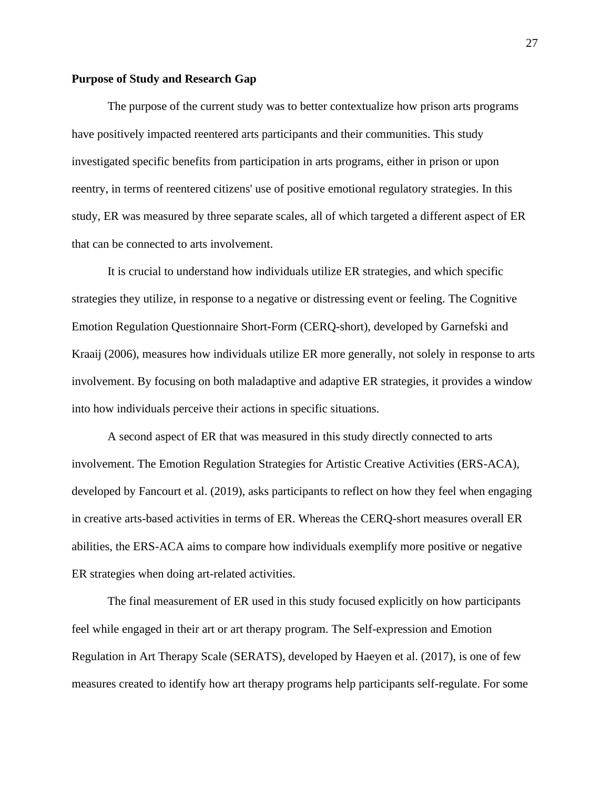#### **Purpose of Study and Research Gap**

The purpose of the current study was to better contextualize how prison arts programs have positively impacted reentered arts participants and their communities. This study investigated specific benefits from participation in arts programs, either in prison or upon reentry, in terms of reentered citizens' use of positive emotional regulatory strategies. In this study, ER was measured by three separate scales, all of which targeted a different aspect of ER that can be connected to arts involvement.

It is crucial to understand how individuals utilize ER strategies, and which specific strategies they utilize, in response to a negative or distressing event or feeling. The Cognitive Emotion Regulation Questionnaire Short-Form (CERQ-short), developed by Garnefski and Kraaij (2006), measures how individuals utilize ER more generally, not solely in response to arts involvement. By focusing on both maladaptive and adaptive ER strategies, it provides a window into how individuals perceive their actions in specific situations.

A second aspect of ER that was measured in this study directly connected to arts involvement. The Emotion Regulation Strategies for Artistic Creative Activities (ERS-ACA), developed by Fancourt et al. (2019), asks participants to reflect on how they feel when engaging in creative arts-based activities in terms of ER. Whereas the CERQ-short measures overall ER abilities, the ERS-ACA aims to compare how individuals exemplify more positive or negative ER strategies when doing art-related activities.

The final measurement of ER used in this study focused explicitly on how participants feel while engaged in their art or art therapy program. The Self-expression and Emotion Regulation in Art Therapy Scale (SERATS), developed by Haeyen et al. (2017), is one of few measures created to identify how art therapy programs help participants self-regulate. For some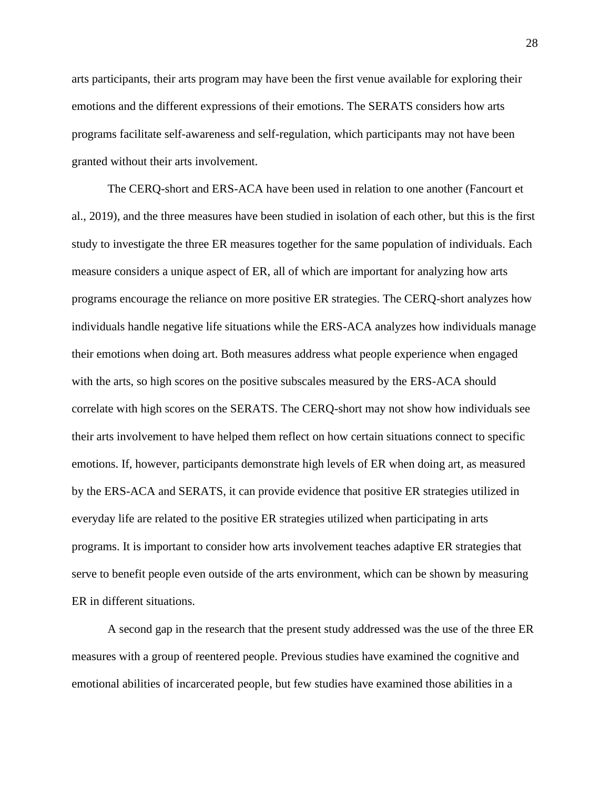arts participants, their arts program may have been the first venue available for exploring their emotions and the different expressions of their emotions. The SERATS considers how arts programs facilitate self-awareness and self-regulation, which participants may not have been granted without their arts involvement.

The CERQ-short and ERS-ACA have been used in relation to one another (Fancourt et al., 2019), and the three measures have been studied in isolation of each other, but this is the first study to investigate the three ER measures together for the same population of individuals. Each measure considers a unique aspect of ER, all of which are important for analyzing how arts programs encourage the reliance on more positive ER strategies. The CERQ-short analyzes how individuals handle negative life situations while the ERS-ACA analyzes how individuals manage their emotions when doing art. Both measures address what people experience when engaged with the arts, so high scores on the positive subscales measured by the ERS-ACA should correlate with high scores on the SERATS. The CERQ-short may not show how individuals see their arts involvement to have helped them reflect on how certain situations connect to specific emotions. If, however, participants demonstrate high levels of ER when doing art, as measured by the ERS-ACA and SERATS, it can provide evidence that positive ER strategies utilized in everyday life are related to the positive ER strategies utilized when participating in arts programs. It is important to consider how arts involvement teaches adaptive ER strategies that serve to benefit people even outside of the arts environment, which can be shown by measuring ER in different situations.

A second gap in the research that the present study addressed was the use of the three ER measures with a group of reentered people. Previous studies have examined the cognitive and emotional abilities of incarcerated people, but few studies have examined those abilities in a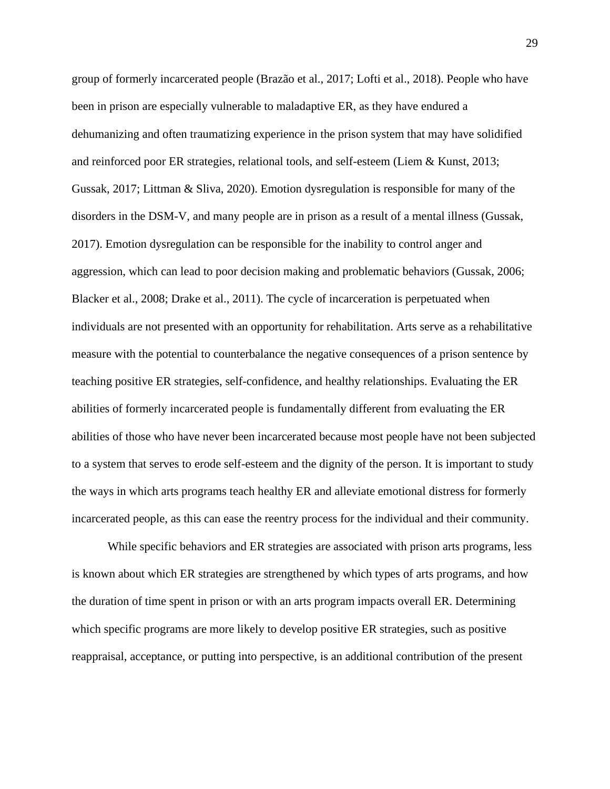group of formerly incarcerated people (Bra[zão](https://www.researchgate.net/profile/Nelio-Brazao) et al., 2017; Lofti et al., 2018). People who have been in prison are especially vulnerable to maladaptive ER, as they have endured a dehumanizing and often traumatizing experience in the prison system that may have solidified and reinforced poor ER strategies, relational tools, and self-esteem (Liem & Kunst, 2013; Gussak, 2017; Littman & Sliva, 2020). Emotion dysregulation is responsible for many of the disorders in the DSM-V, and many people are in prison as a result of a mental illness (Gussak, 2017). Emotion dysregulation can be responsible for the inability to control anger and aggression, which can lead to poor decision making and problematic behaviors (Gussak, 2006; Blacker et al., 2008; Drake et al., 2011). The cycle of incarceration is perpetuated when individuals are not presented with an opportunity for rehabilitation. Arts serve as a rehabilitative measure with the potential to counterbalance the negative consequences of a prison sentence by teaching positive ER strategies, self-confidence, and healthy relationships. Evaluating the ER abilities of formerly incarcerated people is fundamentally different from evaluating the ER abilities of those who have never been incarcerated because most people have not been subjected to a system that serves to erode self-esteem and the dignity of the person. It is important to study the ways in which arts programs teach healthy ER and alleviate emotional distress for formerly incarcerated people, as this can ease the reentry process for the individual and their community.

While specific behaviors and ER strategies are associated with prison arts programs, less is known about which ER strategies are strengthened by which types of arts programs, and how the duration of time spent in prison or with an arts program impacts overall ER. Determining which specific programs are more likely to develop positive ER strategies, such as positive reappraisal, acceptance, or putting into perspective, is an additional contribution of the present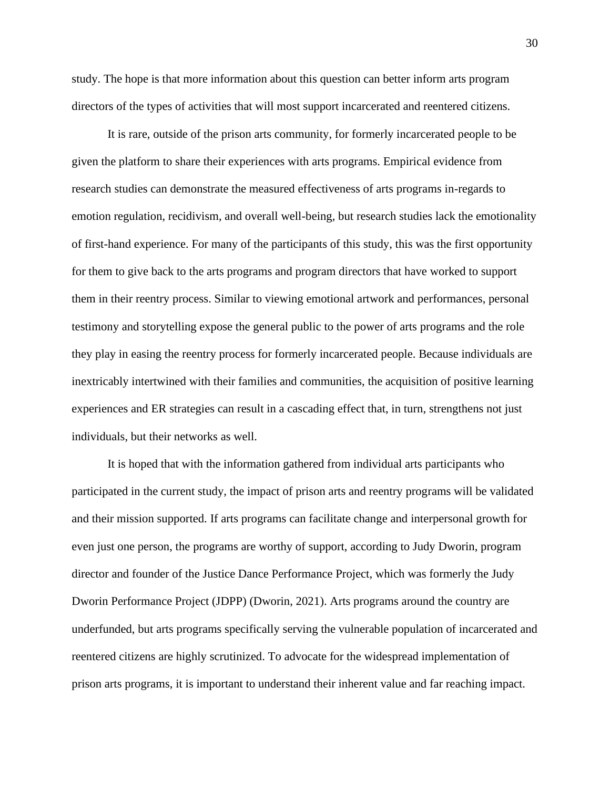study. The hope is that more information about this question can better inform arts program directors of the types of activities that will most support incarcerated and reentered citizens.

It is rare, outside of the prison arts community, for formerly incarcerated people to be given the platform to share their experiences with arts programs. Empirical evidence from research studies can demonstrate the measured effectiveness of arts programs in-regards to emotion regulation, recidivism, and overall well-being, but research studies lack the emotionality of first-hand experience. For many of the participants of this study, this was the first opportunity for them to give back to the arts programs and program directors that have worked to support them in their reentry process. Similar to viewing emotional artwork and performances, personal testimony and storytelling expose the general public to the power of arts programs and the role they play in easing the reentry process for formerly incarcerated people. Because individuals are inextricably intertwined with their families and communities, the acquisition of positive learning experiences and ER strategies can result in a cascading effect that, in turn, strengthens not just individuals, but their networks as well.

It is hoped that with the information gathered from individual arts participants who participated in the current study, the impact of prison arts and reentry programs will be validated and their mission supported. If arts programs can facilitate change and interpersonal growth for even just one person, the programs are worthy of support, according to Judy Dworin, program director and founder of the Justice Dance Performance Project, which was formerly the Judy Dworin Performance Project (JDPP) (Dworin, 2021). Arts programs around the country are underfunded, but arts programs specifically serving the vulnerable population of incarcerated and reentered citizens are highly scrutinized. To advocate for the widespread implementation of prison arts programs, it is important to understand their inherent value and far reaching impact.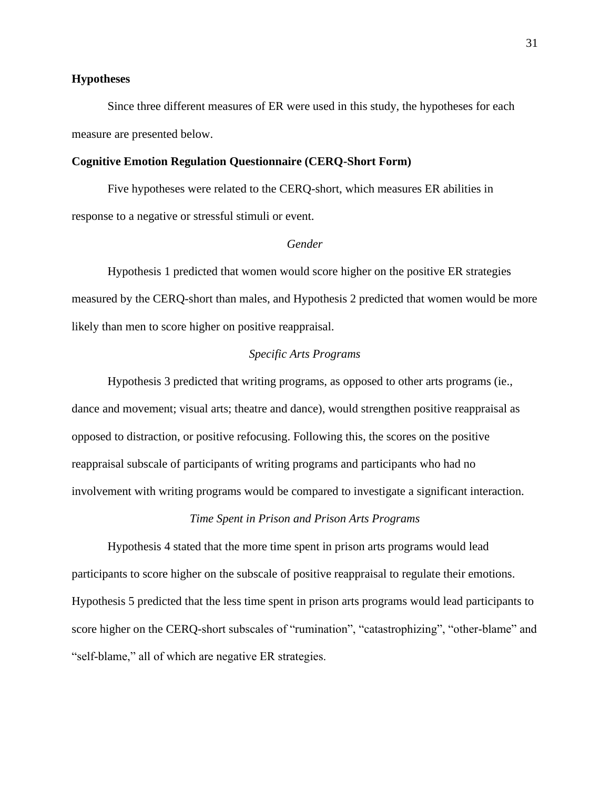# **Hypotheses**

Since three different measures of ER were used in this study, the hypotheses for each measure are presented below.

# **Cognitive Emotion Regulation Questionnaire (CERQ-Short Form)**

Five hypotheses were related to the CERQ-short, which measures ER abilities in response to a negative or stressful stimuli or event.

# *Gender*

Hypothesis 1 predicted that women would score higher on the positive ER strategies measured by the CERQ-short than males, and Hypothesis 2 predicted that women would be more likely than men to score higher on positive reappraisal.

# *Specific Arts Programs*

Hypothesis 3 predicted that writing programs, as opposed to other arts programs (ie., dance and movement; visual arts; theatre and dance), would strengthen positive reappraisal as opposed to distraction, or positive refocusing. Following this, the scores on the positive reappraisal subscale of participants of writing programs and participants who had no involvement with writing programs would be compared to investigate a significant interaction.

# *Time Spent in Prison and Prison Arts Programs*

Hypothesis 4 stated that the more time spent in prison arts programs would lead participants to score higher on the subscale of positive reappraisal to regulate their emotions. Hypothesis 5 predicted that the less time spent in prison arts programs would lead participants to score higher on the CERQ-short subscales of "rumination", "catastrophizing", "other-blame" and "self-blame," all of which are negative ER strategies.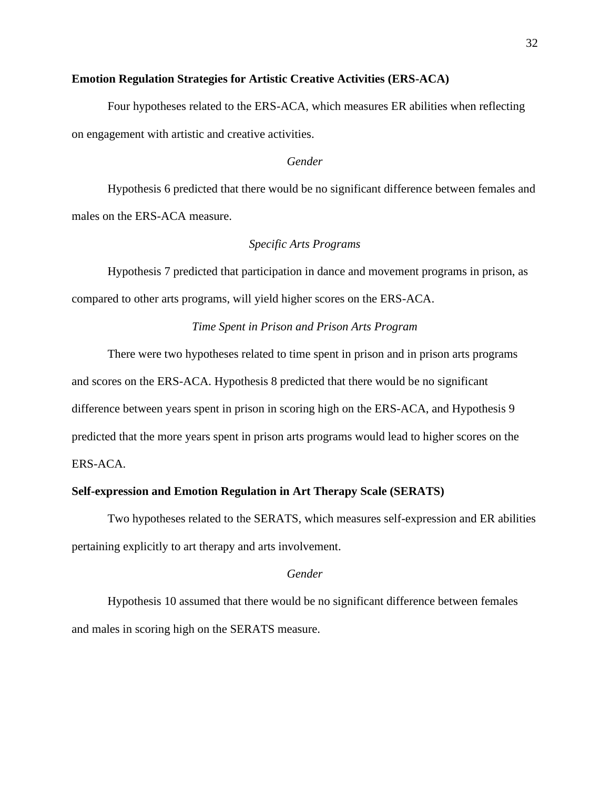# **Emotion Regulation Strategies for Artistic Creative Activities (ERS-ACA)**

Four hypotheses related to the ERS-ACA, which measures ER abilities when reflecting on engagement with artistic and creative activities.

# *Gender*

Hypothesis 6 predicted that there would be no significant difference between females and males on the ERS-ACA measure.

#### *Specific Arts Programs*

Hypothesis 7 predicted that participation in dance and movement programs in prison, as compared to other arts programs, will yield higher scores on the ERS-ACA.

## *Time Spent in Prison and Prison Arts Program*

There were two hypotheses related to time spent in prison and in prison arts programs and scores on the ERS-ACA. Hypothesis 8 predicted that there would be no significant difference between years spent in prison in scoring high on the ERS-ACA, and Hypothesis 9 predicted that the more years spent in prison arts programs would lead to higher scores on the ERS-ACA.

#### **Self-expression and Emotion Regulation in Art Therapy Scale (SERATS)**

Two hypotheses related to the SERATS, which measures self-expression and ER abilities pertaining explicitly to art therapy and arts involvement.

#### *Gender*

Hypothesis 10 assumed that there would be no significant difference between females and males in scoring high on the SERATS measure.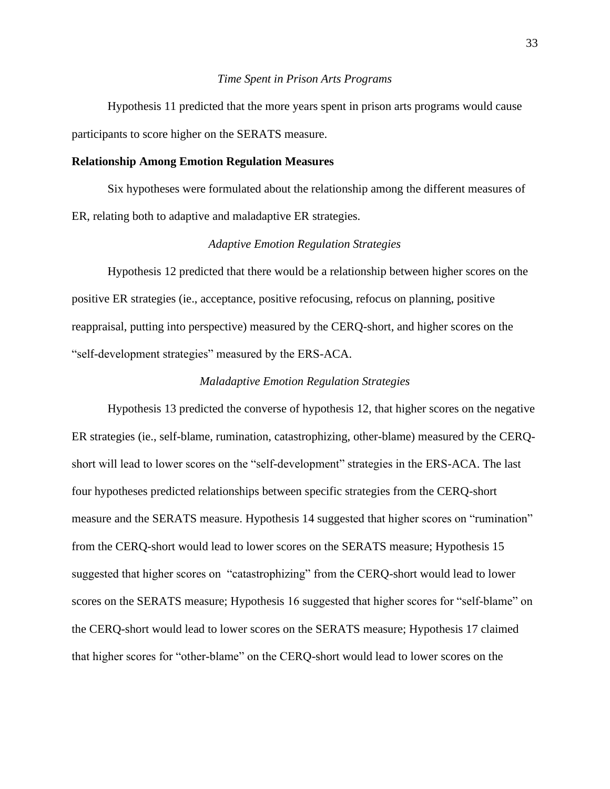#### *Time Spent in Prison Arts Programs*

Hypothesis 11 predicted that the more years spent in prison arts programs would cause participants to score higher on the SERATS measure.

#### **Relationship Among Emotion Regulation Measures**

Six hypotheses were formulated about the relationship among the different measures of ER, relating both to adaptive and maladaptive ER strategies.

#### *Adaptive Emotion Regulation Strategies*

Hypothesis 12 predicted that there would be a relationship between higher scores on the positive ER strategies (ie., acceptance, positive refocusing, refocus on planning, positive reappraisal, putting into perspective) measured by the CERQ-short, and higher scores on the "self-development strategies" measured by the ERS-ACA.

#### *Maladaptive Emotion Regulation Strategies*

Hypothesis 13 predicted the converse of hypothesis 12, that higher scores on the negative ER strategies (ie., self-blame, rumination, catastrophizing, other-blame) measured by the CERQshort will lead to lower scores on the "self-development" strategies in the ERS-ACA. The last four hypotheses predicted relationships between specific strategies from the CERQ-short measure and the SERATS measure. Hypothesis 14 suggested that higher scores on "rumination" from the CERQ-short would lead to lower scores on the SERATS measure; Hypothesis 15 suggested that higher scores on "catastrophizing" from the CERQ-short would lead to lower scores on the SERATS measure; Hypothesis 16 suggested that higher scores for "self-blame" on the CERQ-short would lead to lower scores on the SERATS measure; Hypothesis 17 claimed that higher scores for "other-blame" on the CERQ-short would lead to lower scores on the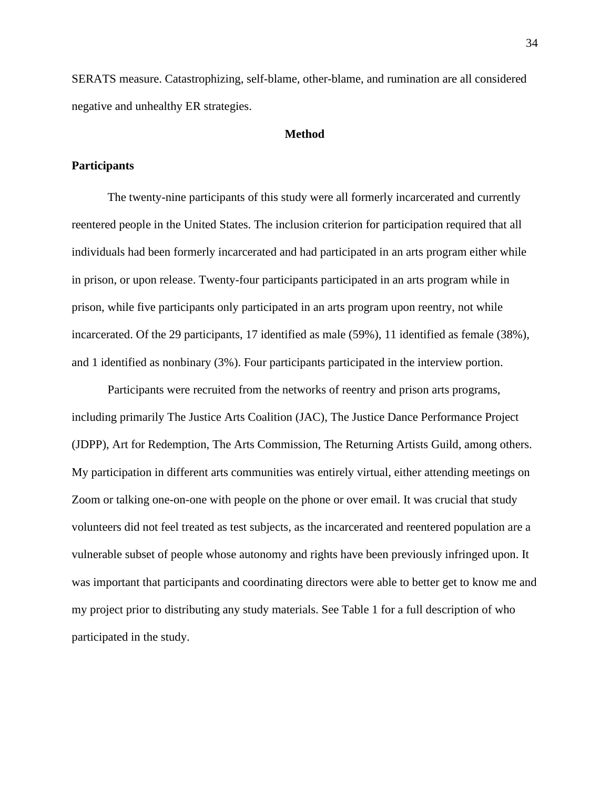SERATS measure. Catastrophizing, self-blame, other-blame, and rumination are all considered negative and unhealthy ER strategies.

# **Method**

# **Participants**

The twenty-nine participants of this study were all formerly incarcerated and currently reentered people in the United States. The inclusion criterion for participation required that all individuals had been formerly incarcerated and had participated in an arts program either while in prison, or upon release. Twenty-four participants participated in an arts program while in prison, while five participants only participated in an arts program upon reentry, not while incarcerated. Of the 29 participants, 17 identified as male (59%), 11 identified as female (38%), and 1 identified as nonbinary (3%). Four participants participated in the interview portion.

Participants were recruited from the networks of reentry and prison arts programs, including primarily The Justice Arts Coalition (JAC), The Justice Dance Performance Project (JDPP), Art for Redemption, The Arts Commission, The Returning Artists Guild, among others. My participation in different arts communities was entirely virtual, either attending meetings on Zoom or talking one-on-one with people on the phone or over email. It was crucial that study volunteers did not feel treated as test subjects, as the incarcerated and reentered population are a vulnerable subset of people whose autonomy and rights have been previously infringed upon. It was important that participants and coordinating directors were able to better get to know me and my project prior to distributing any study materials. See Table 1 for a full description of who participated in the study.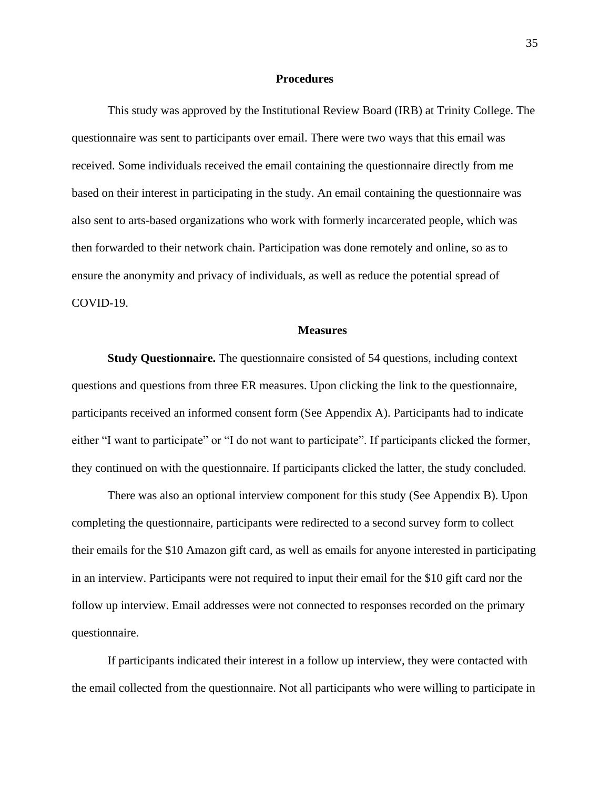#### **Procedures**

This study was approved by the Institutional Review Board (IRB) at Trinity College. The questionnaire was sent to participants over email. There were two ways that this email was received. Some individuals received the email containing the questionnaire directly from me based on their interest in participating in the study. An email containing the questionnaire was also sent to arts-based organizations who work with formerly incarcerated people, which was then forwarded to their network chain. Participation was done remotely and online, so as to ensure the anonymity and privacy of individuals, as well as reduce the potential spread of COVID-19.

#### **Measures**

**Study Questionnaire.** The questionnaire consisted of 54 questions, including context questions and questions from three ER measures. Upon clicking the link to the questionnaire, participants received an informed consent form (See Appendix A). Participants had to indicate either "I want to participate" or "I do not want to participate". If participants clicked the former, they continued on with the questionnaire. If participants clicked the latter, the study concluded.

There was also an optional interview component for this study (See Appendix B). Upon completing the questionnaire, participants were redirected to a second survey form to collect their emails for the \$10 Amazon gift card, as well as emails for anyone interested in participating in an interview. Participants were not required to input their email for the \$10 gift card nor the follow up interview. Email addresses were not connected to responses recorded on the primary questionnaire.

If participants indicated their interest in a follow up interview, they were contacted with the email collected from the questionnaire. Not all participants who were willing to participate in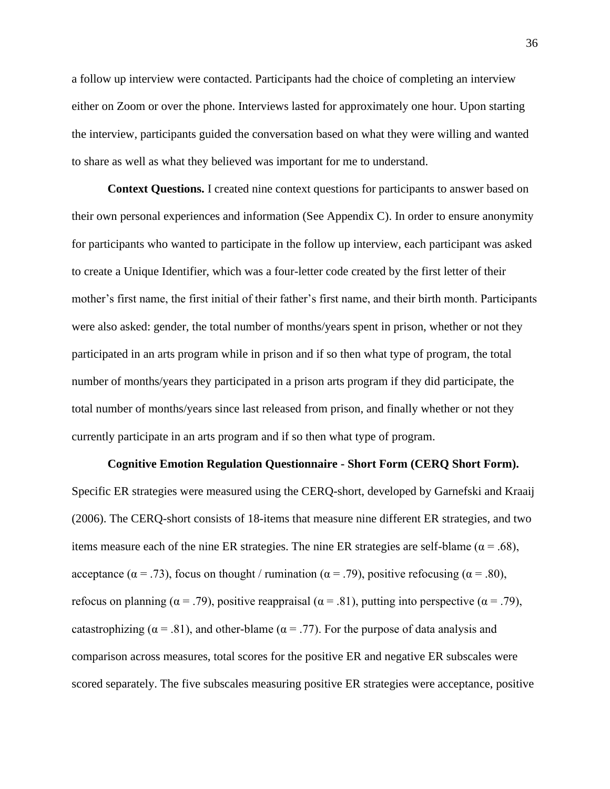a follow up interview were contacted. Participants had the choice of completing an interview either on Zoom or over the phone. Interviews lasted for approximately one hour. Upon starting the interview, participants guided the conversation based on what they were willing and wanted to share as well as what they believed was important for me to understand.

**Context Questions.** I created nine context questions for participants to answer based on their own personal experiences and information (See Appendix C). In order to ensure anonymity for participants who wanted to participate in the follow up interview, each participant was asked to create a Unique Identifier, which was a four-letter code created by the first letter of their mother's first name, the first initial of their father's first name, and their birth month. Participants were also asked: gender, the total number of months/years spent in prison, whether or not they participated in an arts program while in prison and if so then what type of program, the total number of months/years they participated in a prison arts program if they did participate, the total number of months/years since last released from prison, and finally whether or not they currently participate in an arts program and if so then what type of program.

#### **Cognitive Emotion Regulation Questionnaire - Short Form (CERQ Short Form).**

Specific ER strategies were measured using the CERQ-short, developed by Garnefski and Kraaij (2006). The CERQ-short consists of 18-items that measure nine different ER strategies, and two items measure each of the nine ER strategies. The nine ER strategies are self-blame ( $\alpha = .68$ ), acceptance ( $\alpha = .73$ ), focus on thought / rumination ( $\alpha = .79$ ), positive refocusing ( $\alpha = .80$ ), refocus on planning ( $α = .79$ ), positive reappraisal ( $α = .81$ ), putting into perspective ( $α = .79$ ), catastrophizing ( $\alpha$  = .81), and other-blame ( $\alpha$  = .77). For the purpose of data analysis and comparison across measures, total scores for the positive ER and negative ER subscales were scored separately. The five subscales measuring positive ER strategies were acceptance, positive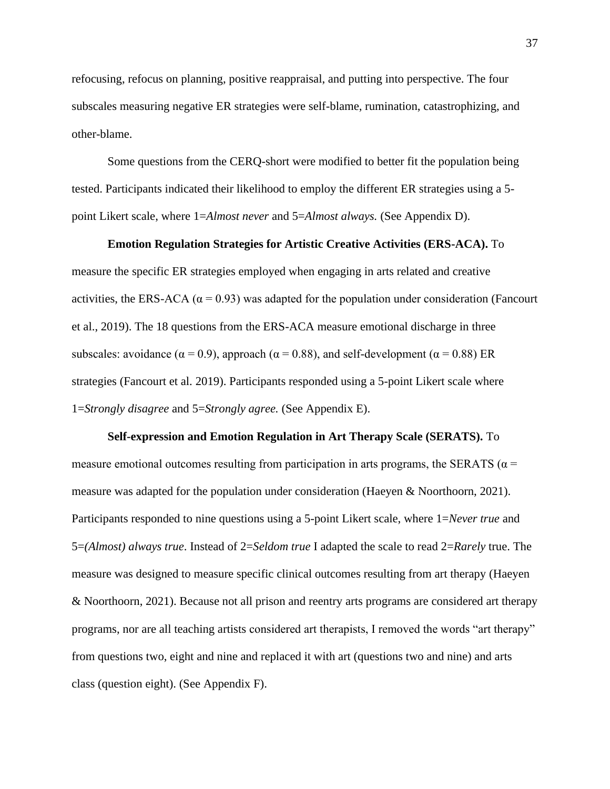refocusing, refocus on planning, positive reappraisal, and putting into perspective. The four subscales measuring negative ER strategies were self-blame, rumination, catastrophizing, and other-blame.

Some questions from the CERQ-short were modified to better fit the population being tested. Participants indicated their likelihood to employ the different ER strategies using a 5 point Likert scale, where 1=*Almost never* and 5=*Almost always.* (See Appendix D).

# **Emotion Regulation Strategies for Artistic Creative Activities (ERS-ACA).** To measure the specific ER strategies employed when engaging in arts related and creative activities, the ERS-ACA ( $\alpha$  = 0.93) was adapted for the population under consideration (Fancourt et al., 2019). The 18 questions from the ERS-ACA measure emotional discharge in three subscales: avoidance ( $\alpha$  = 0.9), approach ( $\alpha$  = 0.88), and self-development ( $\alpha$  = 0.88) ER strategies (Fancourt et al. 2019). Participants responded using a 5-point Likert scale where 1=*Strongly disagree* and 5=*Strongly agree.* (See Appendix E).

**Self-expression and Emotion Regulation in Art Therapy Scale (SERATS).** To measure emotional outcomes resulting from participation in arts programs, the SERATS ( $\alpha$  = measure was adapted for the population under consideration (Haeyen & Noorthoorn, 2021). Participants responded to nine questions using a 5-point Likert scale, where 1=*Never true* and 5=*(Almost) always true*. Instead of 2=*Seldom true* I adapted the scale to read 2=*Rarely* true. The measure was designed to measure specific clinical outcomes resulting from art therapy (Haeyen & Noorthoorn, 2021). Because not all prison and reentry arts programs are considered art therapy programs, nor are all teaching artists considered art therapists, I removed the words "art therapy" from questions two, eight and nine and replaced it with art (questions two and nine) and arts class (question eight). (See Appendix F).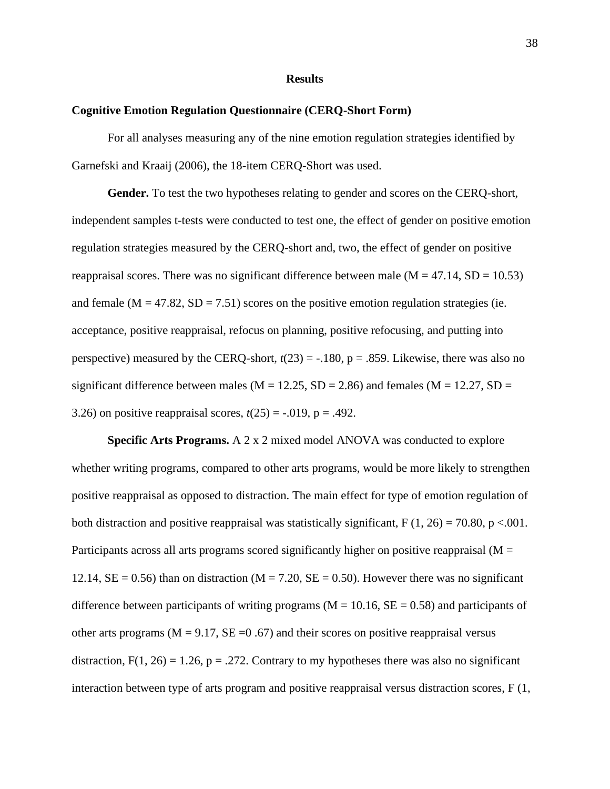#### **Results**

#### **Cognitive Emotion Regulation Questionnaire (CERQ-Short Form)**

For all analyses measuring any of the nine emotion regulation strategies identified by Garnefski and Kraaij (2006), the 18-item CERQ-Short was used.

**Gender.** To test the two hypotheses relating to gender and scores on the CERQ-short, independent samples t-tests were conducted to test one, the effect of gender on positive emotion regulation strategies measured by the CERQ-short and, two, the effect of gender on positive reappraisal scores. There was no significant difference between male  $(M = 47.14, SD = 10.53)$ and female  $(M = 47.82, SD = 7.51)$  scores on the positive emotion regulation strategies (ie. acceptance, positive reappraisal, refocus on planning, positive refocusing, and putting into perspective) measured by the CERQ-short,  $t(23) = -.180$ ,  $p = .859$ . Likewise, there was also no significant difference between males ( $M = 12.25$ ,  $SD = 2.86$ ) and females ( $M = 12.27$ ,  $SD =$ 3.26) on positive reappraisal scores,  $t(25) = -0.019$ ,  $p = 0.492$ .

**Specific Arts Programs.** A 2 x 2 mixed model ANOVA was conducted to explore whether writing programs, compared to other arts programs, would be more likely to strengthen positive reappraisal as opposed to distraction. The main effect for type of emotion regulation of both distraction and positive reappraisal was statistically significant,  $F(1, 26) = 70.80$ , p <.001. Participants across all arts programs scored significantly higher on positive reappraisal ( $M =$ 12.14,  $SE = 0.56$ ) than on distraction (M = 7.20,  $SE = 0.50$ ). However there was no significant difference between participants of writing programs ( $M = 10.16$ ,  $SE = 0.58$ ) and participants of other arts programs ( $M = 9.17$ ,  $SE = 0.67$ ) and their scores on positive reappraisal versus distraction,  $F(1, 26) = 1.26$ ,  $p = .272$ . Contrary to my hypotheses there was also no significant interaction between type of arts program and positive reappraisal versus distraction scores, F (1,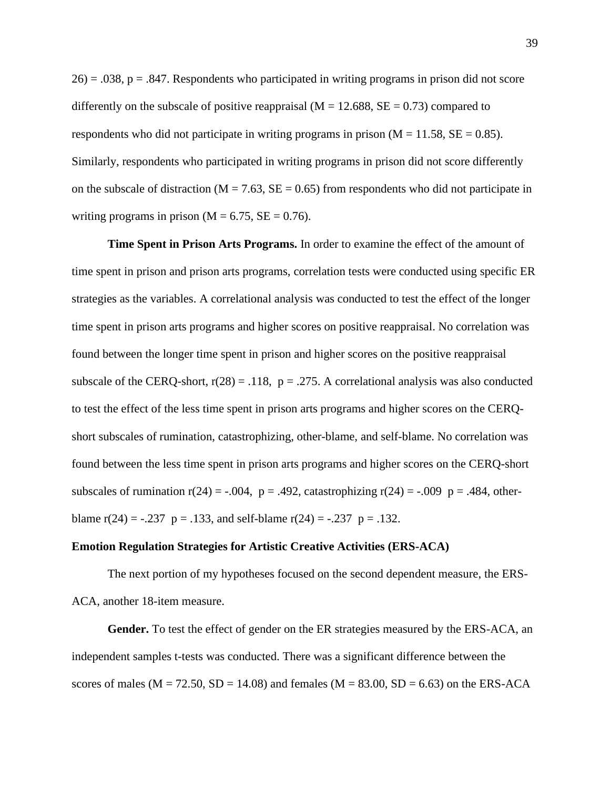$26$  = .038, p = .847. Respondents who participated in writing programs in prison did not score differently on the subscale of positive reappraisal ( $M = 12.688$ ,  $SE = 0.73$ ) compared to respondents who did not participate in writing programs in prison  $(M = 11.58, SE = 0.85)$ . Similarly, respondents who participated in writing programs in prison did not score differently on the subscale of distraction ( $M = 7.63$ ,  $SE = 0.65$ ) from respondents who did not participate in writing programs in prison ( $M = 6.75$ ,  $SE = 0.76$ ).

**Time Spent in Prison Arts Programs.** In order to examine the effect of the amount of time spent in prison and prison arts programs, correlation tests were conducted using specific ER strategies as the variables. A correlational analysis was conducted to test the effect of the longer time spent in prison arts programs and higher scores on positive reappraisal. No correlation was found between the longer time spent in prison and higher scores on the positive reappraisal subscale of the CERQ-short,  $r(28) = .118$ ,  $p = .275$ . A correlational analysis was also conducted to test the effect of the less time spent in prison arts programs and higher scores on the CERQshort subscales of rumination, catastrophizing, other-blame, and self-blame. No correlation was found between the less time spent in prison arts programs and higher scores on the CERQ-short subscales of rumination  $r(24) = -0.004$ ,  $p = 0.492$ , catastrophizing  $r(24) = -0.009$  p = 0.484, otherblame  $r(24) = -.237$   $p = .133$ , and self-blame  $r(24) = -.237$   $p = .132$ .

#### **Emotion Regulation Strategies for Artistic Creative Activities (ERS-ACA)**

The next portion of my hypotheses focused on the second dependent measure, the ERS-ACA, another 18-item measure.

**Gender.** To test the effect of gender on the ER strategies measured by the ERS-ACA, an independent samples t-tests was conducted. There was a significant difference between the scores of males ( $M = 72.50$ ,  $SD = 14.08$ ) and females ( $M = 83.00$ ,  $SD = 6.63$ ) on the ERS-ACA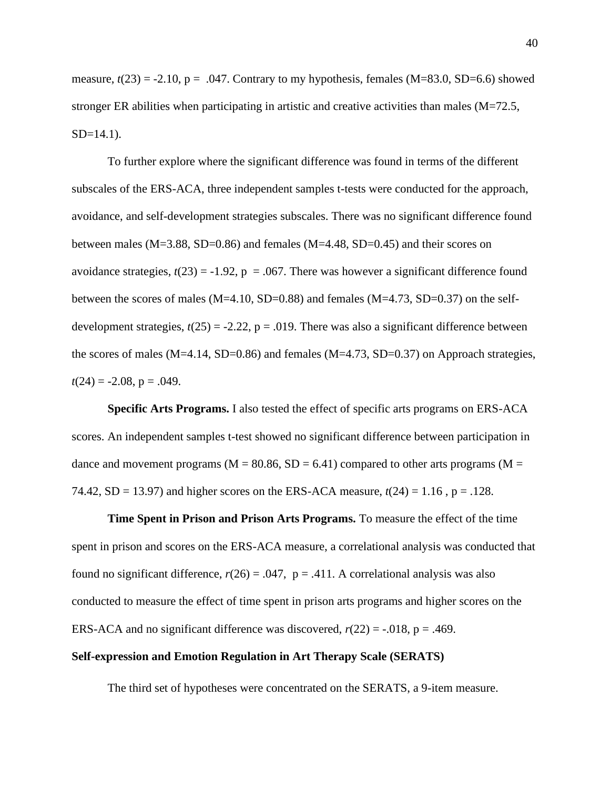measure,  $t(23) = -2.10$ ,  $p = .047$ . Contrary to my hypothesis, females (M=83.0, SD=6.6) showed stronger ER abilities when participating in artistic and creative activities than males (M=72.5,  $SD=14.1$ ).

To further explore where the significant difference was found in terms of the different subscales of the ERS-ACA, three independent samples t-tests were conducted for the approach, avoidance, and self-development strategies subscales. There was no significant difference found between males ( $M=3.88$ , SD=0.86) and females ( $M=4.48$ , SD=0.45) and their scores on avoidance strategies,  $t(23) = -1.92$ , p = .067. There was however a significant difference found between the scores of males (M=4.10, SD=0.88) and females (M=4.73, SD=0.37) on the selfdevelopment strategies,  $t(25) = -2.22$ ,  $p = .019$ . There was also a significant difference between the scores of males  $(M=4.14, SD=0.86)$  and females  $(M=4.73, SD=0.37)$  on Approach strategies,  $t(24) = -2.08$ ,  $p = .049$ .

**Specific Arts Programs.** I also tested the effect of specific arts programs on ERS-ACA scores. An independent samples t-test showed no significant difference between participation in dance and movement programs ( $M = 80.86$ ,  $SD = 6.41$ ) compared to other arts programs ( $M =$ 74.42, SD = 13.97) and higher scores on the ERS-ACA measure, *t*(24) = 1.16 , p = .128.

**Time Spent in Prison and Prison Arts Programs.** To measure the effect of the time spent in prison and scores on the ERS-ACA measure, a correlational analysis was conducted that found no significant difference,  $r(26) = .047$ ,  $p = .411$ . A correlational analysis was also conducted to measure the effect of time spent in prison arts programs and higher scores on the ERS-ACA and no significant difference was discovered,  $r(22) = -0.018$ ,  $p = 0.469$ .

# **Self-expression and Emotion Regulation in Art Therapy Scale (SERATS)**

The third set of hypotheses were concentrated on the SERATS, a 9-item measure.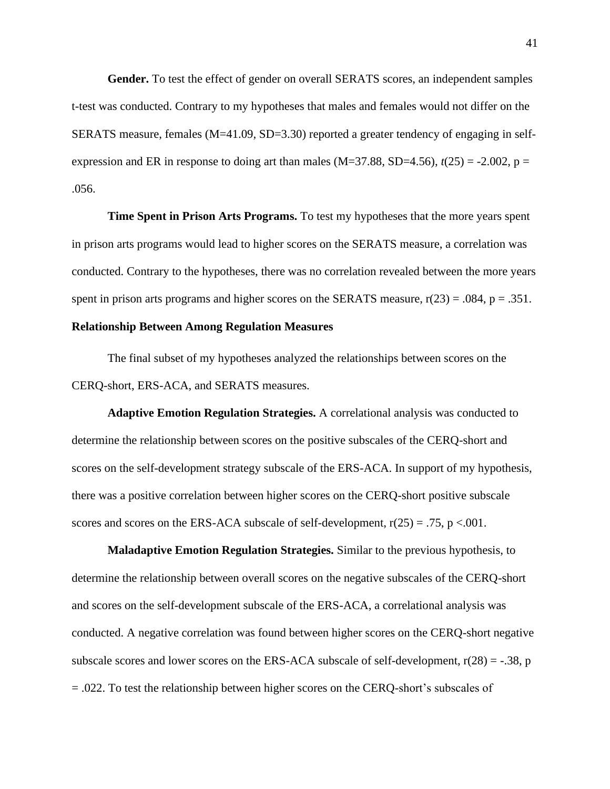**Gender.** To test the effect of gender on overall SERATS scores, an independent samples t-test was conducted. Contrary to my hypotheses that males and females would not differ on the SERATS measure, females (M=41.09, SD=3.30) reported a greater tendency of engaging in selfexpression and ER in response to doing art than males (M=37.88, SD=4.56),  $t(25) = -2.002$ , p = .056.

**Time Spent in Prison Arts Programs.** To test my hypotheses that the more years spent in prison arts programs would lead to higher scores on the SERATS measure, a correlation was conducted. Contrary to the hypotheses, there was no correlation revealed between the more years spent in prison arts programs and higher scores on the SERATS measure,  $r(23) = .084$ ,  $p = .351$ .

# **Relationship Between Among Regulation Measures**

The final subset of my hypotheses analyzed the relationships between scores on the CERQ-short, ERS-ACA, and SERATS measures.

**Adaptive Emotion Regulation Strategies.** A correlational analysis was conducted to determine the relationship between scores on the positive subscales of the CERQ-short and scores on the self-development strategy subscale of the ERS-ACA. In support of my hypothesis, there was a positive correlation between higher scores on the CERQ-short positive subscale scores and scores on the ERS-ACA subscale of self-development,  $r(25) = .75$ , p <.001.

**Maladaptive Emotion Regulation Strategies.** Similar to the previous hypothesis, to determine the relationship between overall scores on the negative subscales of the CERQ-short and scores on the self-development subscale of the ERS-ACA, a correlational analysis was conducted. A negative correlation was found between higher scores on the CERQ-short negative subscale scores and lower scores on the ERS-ACA subscale of self-development,  $r(28) = -.38$ , p = .022. To test the relationship between higher scores on the CERQ-short's subscales of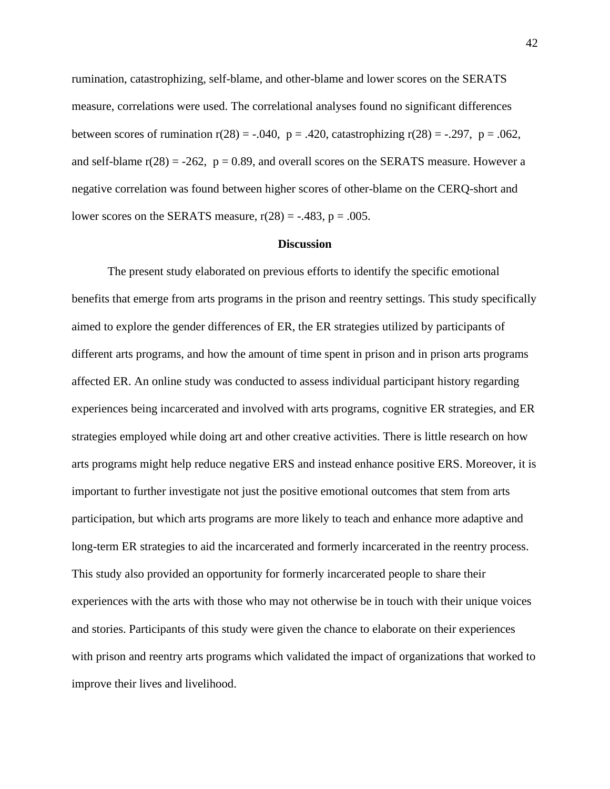rumination, catastrophizing, self-blame, and other-blame and lower scores on the SERATS measure, correlations were used. The correlational analyses found no significant differences between scores of rumination  $r(28) = -.040$ ,  $p = .420$ , catastrophizing  $r(28) = .297$ ,  $p = .062$ , and self-blame  $r(28) = -262$ ,  $p = 0.89$ , and overall scores on the SERATS measure. However a negative correlation was found between higher scores of other-blame on the CERQ-short and lower scores on the SERATS measure,  $r(28) = -.483$ ,  $p = .005$ .

#### **Discussion**

The present study elaborated on previous efforts to identify the specific emotional benefits that emerge from arts programs in the prison and reentry settings. This study specifically aimed to explore the gender differences of ER, the ER strategies utilized by participants of different arts programs, and how the amount of time spent in prison and in prison arts programs affected ER. An online study was conducted to assess individual participant history regarding experiences being incarcerated and involved with arts programs, cognitive ER strategies, and ER strategies employed while doing art and other creative activities. There is little research on how arts programs might help reduce negative ERS and instead enhance positive ERS. Moreover, it is important to further investigate not just the positive emotional outcomes that stem from arts participation, but which arts programs are more likely to teach and enhance more adaptive and long-term ER strategies to aid the incarcerated and formerly incarcerated in the reentry process. This study also provided an opportunity for formerly incarcerated people to share their experiences with the arts with those who may not otherwise be in touch with their unique voices and stories. Participants of this study were given the chance to elaborate on their experiences with prison and reentry arts programs which validated the impact of organizations that worked to improve their lives and livelihood.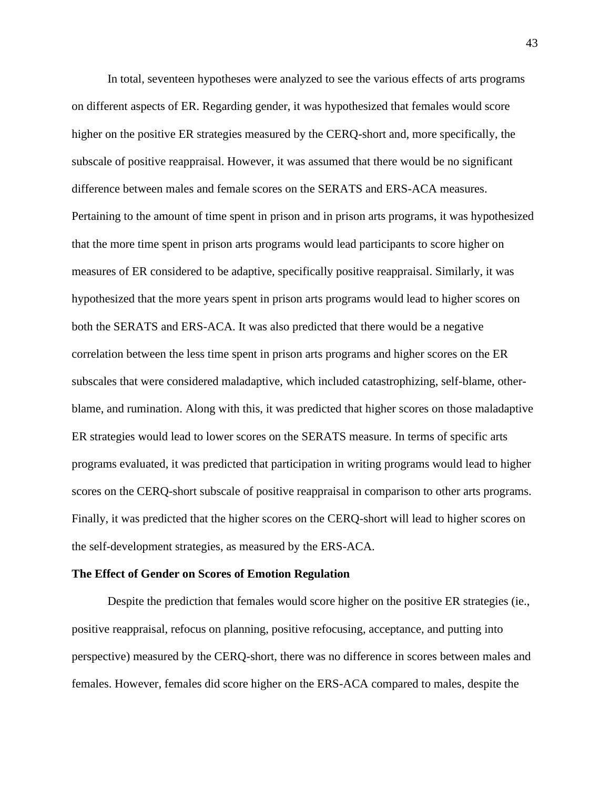In total, seventeen hypotheses were analyzed to see the various effects of arts programs on different aspects of ER. Regarding gender, it was hypothesized that females would score higher on the positive ER strategies measured by the CERQ-short and, more specifically, the subscale of positive reappraisal. However, it was assumed that there would be no significant difference between males and female scores on the SERATS and ERS-ACA measures. Pertaining to the amount of time spent in prison and in prison arts programs, it was hypothesized that the more time spent in prison arts programs would lead participants to score higher on measures of ER considered to be adaptive, specifically positive reappraisal. Similarly, it was hypothesized that the more years spent in prison arts programs would lead to higher scores on both the SERATS and ERS-ACA. It was also predicted that there would be a negative correlation between the less time spent in prison arts programs and higher scores on the ER subscales that were considered maladaptive, which included catastrophizing, self-blame, otherblame, and rumination. Along with this, it was predicted that higher scores on those maladaptive ER strategies would lead to lower scores on the SERATS measure. In terms of specific arts programs evaluated, it was predicted that participation in writing programs would lead to higher scores on the CERQ-short subscale of positive reappraisal in comparison to other arts programs. Finally, it was predicted that the higher scores on the CERQ-short will lead to higher scores on the self-development strategies, as measured by the ERS-ACA.

#### **The Effect of Gender on Scores of Emotion Regulation**

Despite the prediction that females would score higher on the positive ER strategies (ie., positive reappraisal, refocus on planning, positive refocusing, acceptance, and putting into perspective) measured by the CERQ-short, there was no difference in scores between males and females. However, females did score higher on the ERS-ACA compared to males, despite the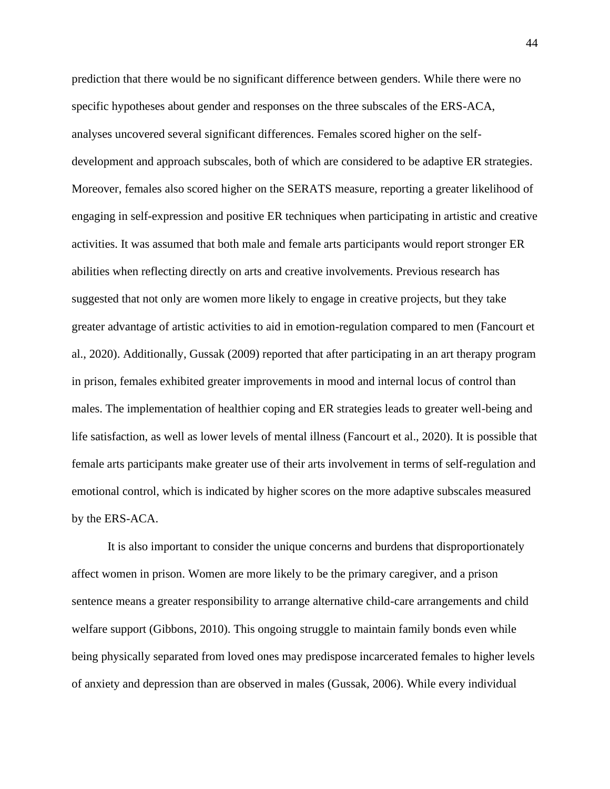prediction that there would be no significant difference between genders. While there were no specific hypotheses about gender and responses on the three subscales of the ERS-ACA, analyses uncovered several significant differences. Females scored higher on the selfdevelopment and approach subscales, both of which are considered to be adaptive ER strategies. Moreover, females also scored higher on the SERATS measure, reporting a greater likelihood of engaging in self-expression and positive ER techniques when participating in artistic and creative activities. It was assumed that both male and female arts participants would report stronger ER abilities when reflecting directly on arts and creative involvements. Previous research has suggested that not only are women more likely to engage in creative projects, but they take greater advantage of artistic activities to aid in emotion-regulation compared to men (Fancourt et al., 2020). Additionally, Gussak (2009) reported that after participating in an art therapy program in prison, females exhibited greater improvements in mood and internal locus of control than males. The implementation of healthier coping and ER strategies leads to greater well-being and life satisfaction, as well as lower levels of mental illness (Fancourt et al., 2020). It is possible that female arts participants make greater use of their arts involvement in terms of self-regulation and emotional control, which is indicated by higher scores on the more adaptive subscales measured by the ERS-ACA.

It is also important to consider the unique concerns and burdens that disproportionately affect women in prison. Women are more likely to be the primary caregiver, and a prison sentence means a greater responsibility to arrange alternative child-care arrangements and child welfare support (Gibbons, 2010). This ongoing struggle to maintain family bonds even while being physically separated from loved ones may predispose incarcerated females to higher levels of anxiety and depression than are observed in males (Gussak, 2006). While every individual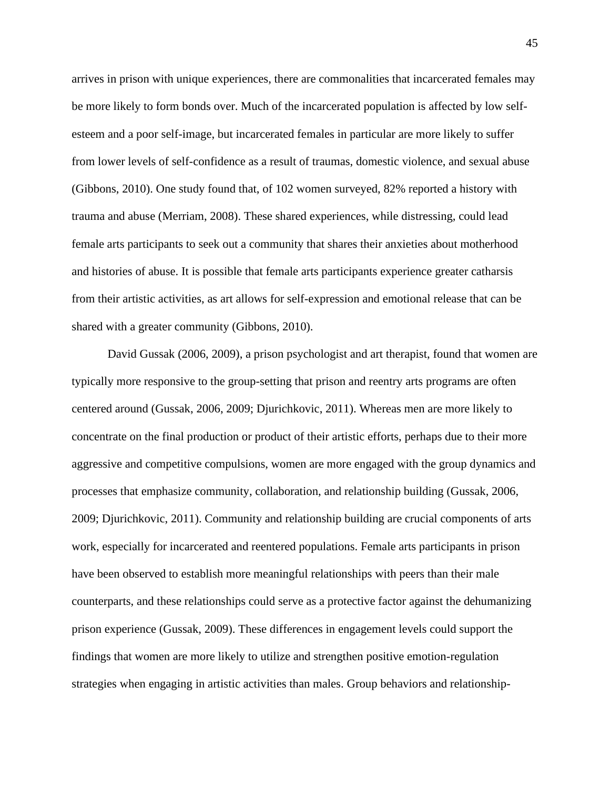arrives in prison with unique experiences, there are commonalities that incarcerated females may be more likely to form bonds over. Much of the incarcerated population is affected by low selfesteem and a poor self-image, but incarcerated females in particular are more likely to suffer from lower levels of self-confidence as a result of traumas, domestic violence, and sexual abuse (Gibbons, 2010). One study found that, of 102 women surveyed, 82% reported a history with trauma and abuse (Merriam, 2008). These shared experiences, while distressing, could lead female arts participants to seek out a community that shares their anxieties about motherhood and histories of abuse. It is possible that female arts participants experience greater catharsis from their artistic activities, as art allows for self-expression and emotional release that can be shared with a greater community (Gibbons, 2010).

David Gussak (2006, 2009), a prison psychologist and art therapist, found that women are typically more responsive to the group-setting that prison and reentry arts programs are often centered around (Gussak, 2006, 2009; Djurichkovic, 2011). Whereas men are more likely to concentrate on the final production or product of their artistic efforts, perhaps due to their more aggressive and competitive compulsions, women are more engaged with the group dynamics and processes that emphasize community, collaboration, and relationship building (Gussak, 2006, 2009; Djurichkovic, 2011). Community and relationship building are crucial components of arts work, especially for incarcerated and reentered populations. Female arts participants in prison have been observed to establish more meaningful relationships with peers than their male counterparts, and these relationships could serve as a protective factor against the dehumanizing prison experience (Gussak, 2009). These differences in engagement levels could support the findings that women are more likely to utilize and strengthen positive emotion-regulation strategies when engaging in artistic activities than males. Group behaviors and relationship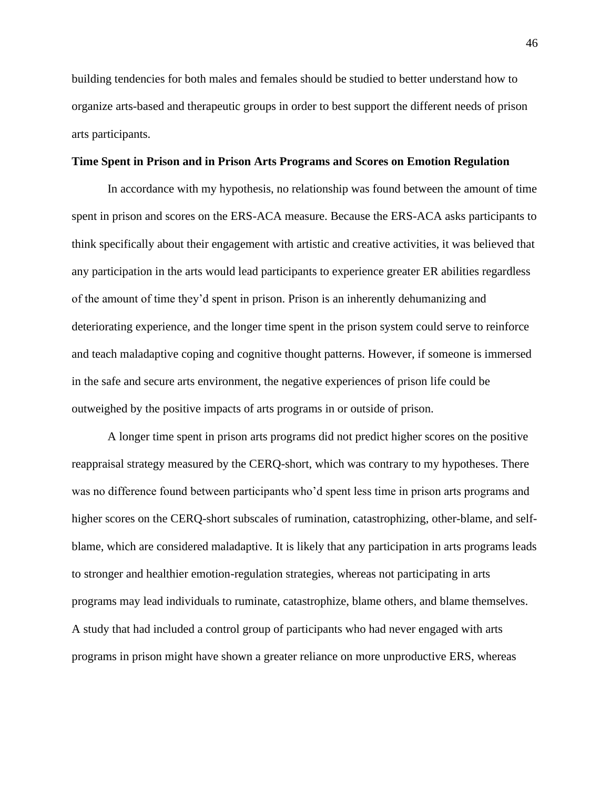building tendencies for both males and females should be studied to better understand how to organize arts-based and therapeutic groups in order to best support the different needs of prison arts participants.

#### **Time Spent in Prison and in Prison Arts Programs and Scores on Emotion Regulation**

In accordance with my hypothesis, no relationship was found between the amount of time spent in prison and scores on the ERS-ACA measure. Because the ERS-ACA asks participants to think specifically about their engagement with artistic and creative activities, it was believed that any participation in the arts would lead participants to experience greater ER abilities regardless of the amount of time they'd spent in prison. Prison is an inherently dehumanizing and deteriorating experience, and the longer time spent in the prison system could serve to reinforce and teach maladaptive coping and cognitive thought patterns. However, if someone is immersed in the safe and secure arts environment, the negative experiences of prison life could be outweighed by the positive impacts of arts programs in or outside of prison.

A longer time spent in prison arts programs did not predict higher scores on the positive reappraisal strategy measured by the CERQ-short, which was contrary to my hypotheses. There was no difference found between participants who'd spent less time in prison arts programs and higher scores on the CERQ-short subscales of rumination, catastrophizing, other-blame, and selfblame, which are considered maladaptive. It is likely that any participation in arts programs leads to stronger and healthier emotion-regulation strategies, whereas not participating in arts programs may lead individuals to ruminate, catastrophize, blame others, and blame themselves. A study that had included a control group of participants who had never engaged with arts programs in prison might have shown a greater reliance on more unproductive ERS, whereas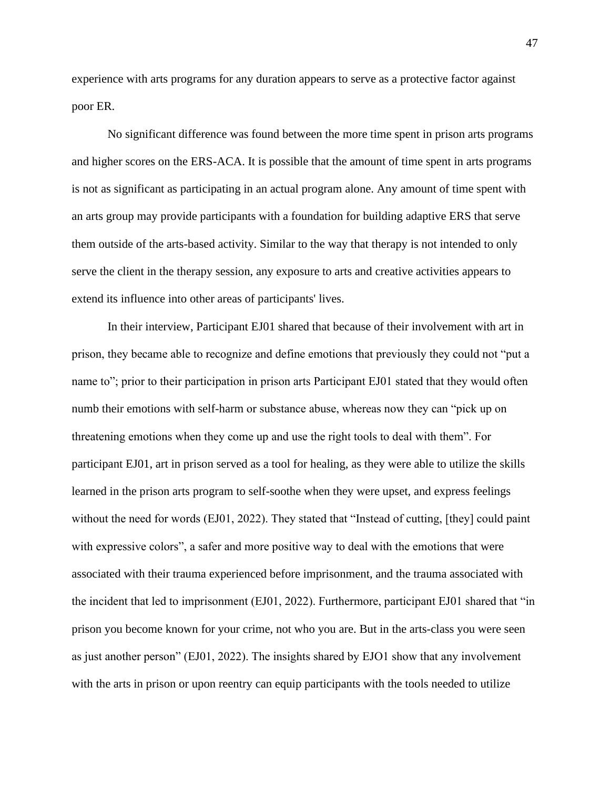experience with arts programs for any duration appears to serve as a protective factor against poor ER.

No significant difference was found between the more time spent in prison arts programs and higher scores on the ERS-ACA. It is possible that the amount of time spent in arts programs is not as significant as participating in an actual program alone. Any amount of time spent with an arts group may provide participants with a foundation for building adaptive ERS that serve them outside of the arts-based activity. Similar to the way that therapy is not intended to only serve the client in the therapy session, any exposure to arts and creative activities appears to extend its influence into other areas of participants' lives.

In their interview, Participant EJ01 shared that because of their involvement with art in prison, they became able to recognize and define emotions that previously they could not "put a name to"; prior to their participation in prison arts Participant EJ01 stated that they would often numb their emotions with self-harm or substance abuse, whereas now they can "pick up on threatening emotions when they come up and use the right tools to deal with them". For participant EJ01, art in prison served as a tool for healing, as they were able to utilize the skills learned in the prison arts program to self-soothe when they were upset, and express feelings without the need for words (EJ01, 2022). They stated that "Instead of cutting, [they] could paint with expressive colors", a safer and more positive way to deal with the emotions that were associated with their trauma experienced before imprisonment, and the trauma associated with the incident that led to imprisonment (EJ01, 2022). Furthermore, participant EJ01 shared that "in prison you become known for your crime, not who you are. But in the arts-class you were seen as just another person" (EJ01, 2022). The insights shared by EJO1 show that any involvement with the arts in prison or upon reentry can equip participants with the tools needed to utilize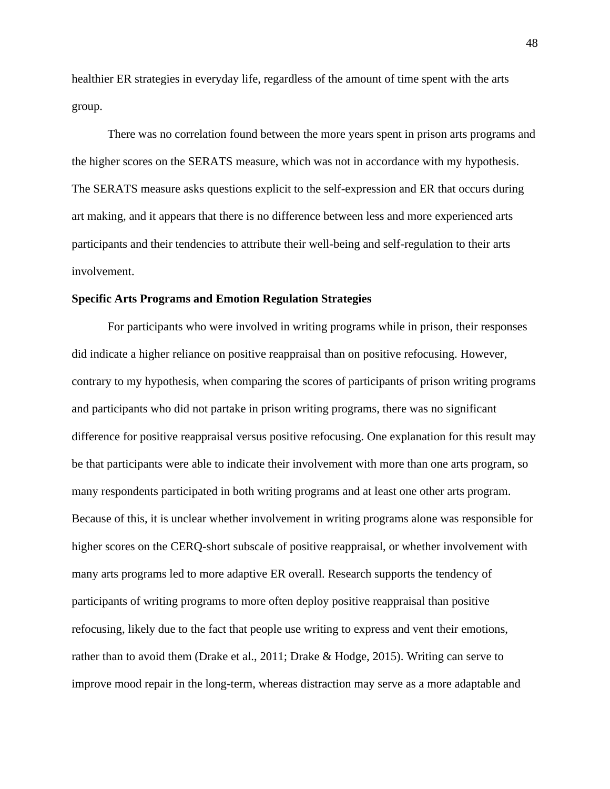healthier ER strategies in everyday life, regardless of the amount of time spent with the arts group.

There was no correlation found between the more years spent in prison arts programs and the higher scores on the SERATS measure, which was not in accordance with my hypothesis. The SERATS measure asks questions explicit to the self-expression and ER that occurs during art making, and it appears that there is no difference between less and more experienced arts participants and their tendencies to attribute their well-being and self-regulation to their arts involvement.

#### **Specific Arts Programs and Emotion Regulation Strategies**

For participants who were involved in writing programs while in prison, their responses did indicate a higher reliance on positive reappraisal than on positive refocusing. However, contrary to my hypothesis, when comparing the scores of participants of prison writing programs and participants who did not partake in prison writing programs, there was no significant difference for positive reappraisal versus positive refocusing. One explanation for this result may be that participants were able to indicate their involvement with more than one arts program, so many respondents participated in both writing programs and at least one other arts program. Because of this, it is unclear whether involvement in writing programs alone was responsible for higher scores on the CERQ-short subscale of positive reappraisal, or whether involvement with many arts programs led to more adaptive ER overall. Research supports the tendency of participants of writing programs to more often deploy positive reappraisal than positive refocusing, likely due to the fact that people use writing to express and vent their emotions, rather than to avoid them (Drake et al., 2011; Drake & Hodge, 2015). Writing can serve to improve mood repair in the long-term, whereas distraction may serve as a more adaptable and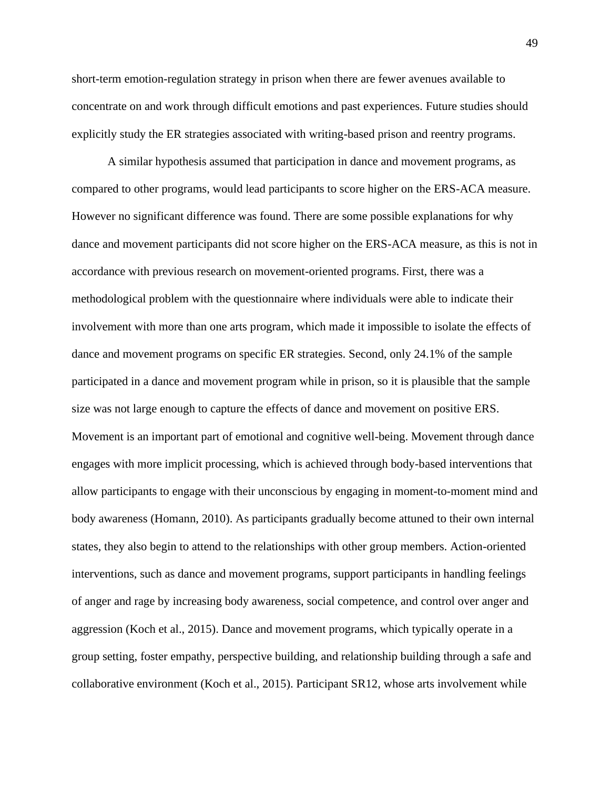short-term emotion-regulation strategy in prison when there are fewer avenues available to concentrate on and work through difficult emotions and past experiences. Future studies should explicitly study the ER strategies associated with writing-based prison and reentry programs.

A similar hypothesis assumed that participation in dance and movement programs, as compared to other programs, would lead participants to score higher on the ERS-ACA measure. However no significant difference was found. There are some possible explanations for why dance and movement participants did not score higher on the ERS-ACA measure, as this is not in accordance with previous research on movement-oriented programs. First, there was a methodological problem with the questionnaire where individuals were able to indicate their involvement with more than one arts program, which made it impossible to isolate the effects of dance and movement programs on specific ER strategies. Second, only 24.1% of the sample participated in a dance and movement program while in prison, so it is plausible that the sample size was not large enough to capture the effects of dance and movement on positive ERS. Movement is an important part of emotional and cognitive well-being. Movement through dance engages with more implicit processing, which is achieved through body-based interventions that allow participants to engage with their unconscious by engaging in moment-to-moment mind and body awareness (Homann, 2010). As participants gradually become attuned to their own internal states, they also begin to attend to the relationships with other group members. Action-oriented interventions, such as dance and movement programs, support participants in handling feelings of anger and rage by increasing body awareness, social competence, and control over anger and aggression (Koch et al., 2015). Dance and movement programs, which typically operate in a group setting, foster empathy, perspective building, and relationship building through a safe and collaborative environment (Koch et al., 2015). Participant SR12, whose arts involvement while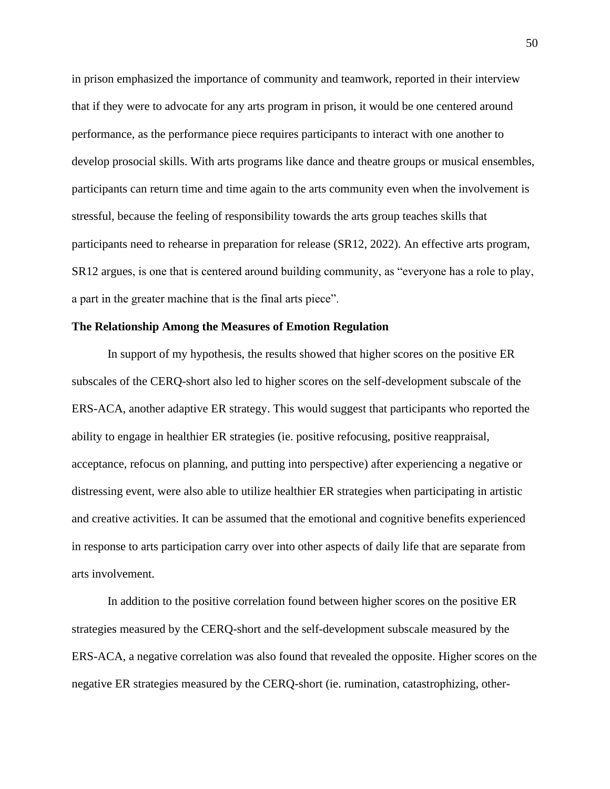in prison emphasized the importance of community and teamwork, reported in their interview that if they were to advocate for any arts program in prison, it would be one centered around performance, as the performance piece requires participants to interact with one another to develop prosocial skills. With arts programs like dance and theatre groups or musical ensembles, participants can return time and time again to the arts community even when the involvement is stressful, because the feeling of responsibility towards the arts group teaches skills that participants need to rehearse in preparation for release (SR12, 2022). An effective arts program, SR12 argues, is one that is centered around building community, as "everyone has a role to play, a part in the greater machine that is the final arts piece".

#### **The Relationship Among the Measures of Emotion Regulation**

In support of my hypothesis, the results showed that higher scores on the positive ER subscales of the CERQ-short also led to higher scores on the self-development subscale of the ERS-ACA, another adaptive ER strategy. This would suggest that participants who reported the ability to engage in healthier ER strategies (ie. positive refocusing, positive reappraisal, acceptance, refocus on planning, and putting into perspective) after experiencing a negative or distressing event, were also able to utilize healthier ER strategies when participating in artistic and creative activities. It can be assumed that the emotional and cognitive benefits experienced in response to arts participation carry over into other aspects of daily life that are separate from arts involvement.

In addition to the positive correlation found between higher scores on the positive ER strategies measured by the CERQ-short and the self-development subscale measured by the ERS-ACA, a negative correlation was also found that revealed the opposite. Higher scores on the negative ER strategies measured by the CERQ-short (ie. rumination, catastrophizing, other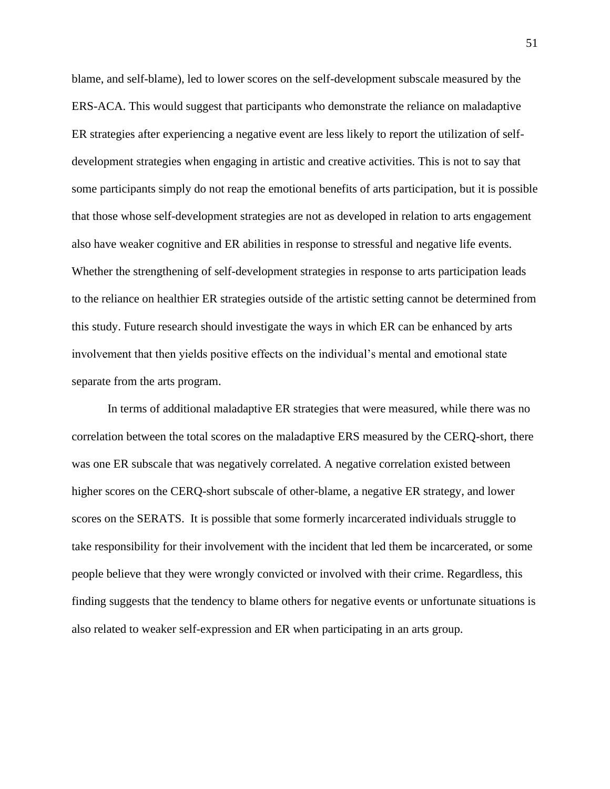blame, and self-blame), led to lower scores on the self-development subscale measured by the ERS-ACA. This would suggest that participants who demonstrate the reliance on maladaptive ER strategies after experiencing a negative event are less likely to report the utilization of selfdevelopment strategies when engaging in artistic and creative activities. This is not to say that some participants simply do not reap the emotional benefits of arts participation, but it is possible that those whose self-development strategies are not as developed in relation to arts engagement also have weaker cognitive and ER abilities in response to stressful and negative life events. Whether the strengthening of self-development strategies in response to arts participation leads to the reliance on healthier ER strategies outside of the artistic setting cannot be determined from this study. Future research should investigate the ways in which ER can be enhanced by arts involvement that then yields positive effects on the individual's mental and emotional state separate from the arts program.

In terms of additional maladaptive ER strategies that were measured, while there was no correlation between the total scores on the maladaptive ERS measured by the CERQ-short, there was one ER subscale that was negatively correlated. A negative correlation existed between higher scores on the CERQ-short subscale of other-blame, a negative ER strategy, and lower scores on the SERATS. It is possible that some formerly incarcerated individuals struggle to take responsibility for their involvement with the incident that led them be incarcerated, or some people believe that they were wrongly convicted or involved with their crime. Regardless, this finding suggests that the tendency to blame others for negative events or unfortunate situations is also related to weaker self-expression and ER when participating in an arts group.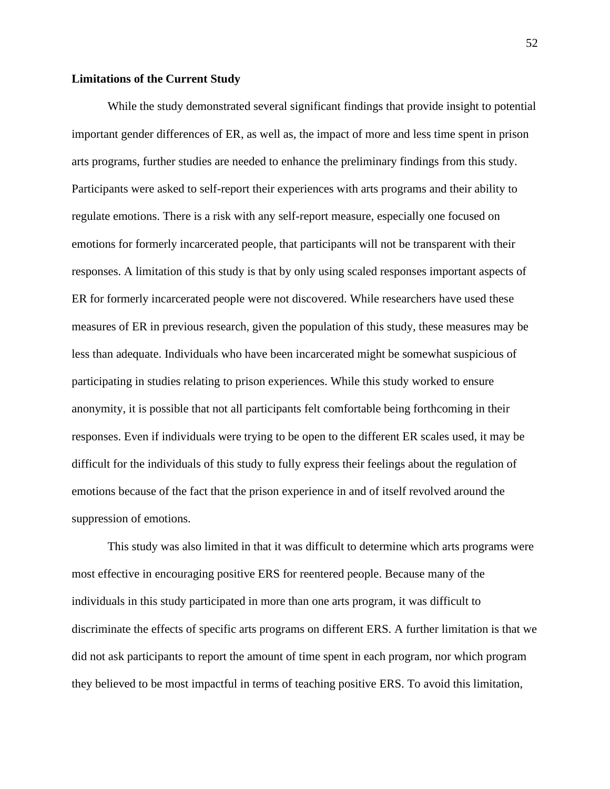# **Limitations of the Current Study**

While the study demonstrated several significant findings that provide insight to potential important gender differences of ER, as well as, the impact of more and less time spent in prison arts programs, further studies are needed to enhance the preliminary findings from this study. Participants were asked to self-report their experiences with arts programs and their ability to regulate emotions. There is a risk with any self-report measure, especially one focused on emotions for formerly incarcerated people, that participants will not be transparent with their responses. A limitation of this study is that by only using scaled responses important aspects of ER for formerly incarcerated people were not discovered. While researchers have used these measures of ER in previous research, given the population of this study, these measures may be less than adequate. Individuals who have been incarcerated might be somewhat suspicious of participating in studies relating to prison experiences. While this study worked to ensure anonymity, it is possible that not all participants felt comfortable being forthcoming in their responses. Even if individuals were trying to be open to the different ER scales used, it may be difficult for the individuals of this study to fully express their feelings about the regulation of emotions because of the fact that the prison experience in and of itself revolved around the suppression of emotions.

This study was also limited in that it was difficult to determine which arts programs were most effective in encouraging positive ERS for reentered people. Because many of the individuals in this study participated in more than one arts program, it was difficult to discriminate the effects of specific arts programs on different ERS. A further limitation is that we did not ask participants to report the amount of time spent in each program, nor which program they believed to be most impactful in terms of teaching positive ERS. To avoid this limitation,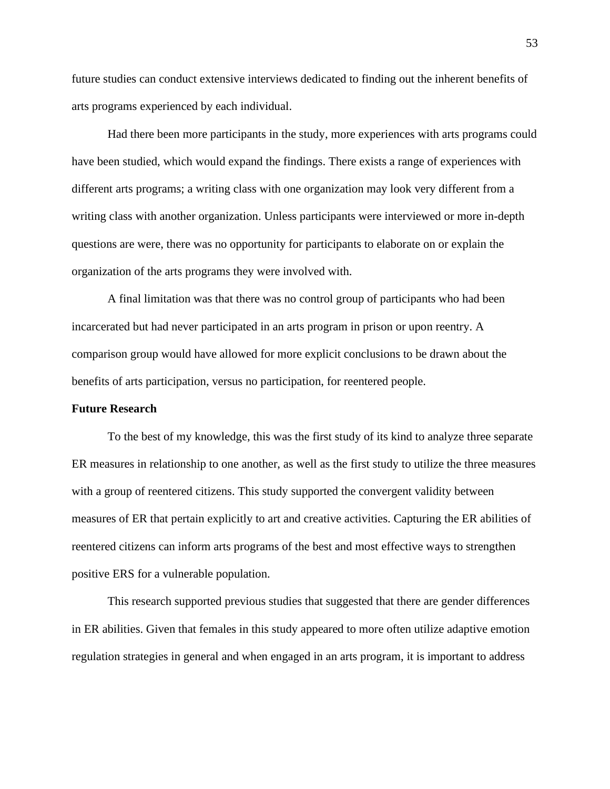future studies can conduct extensive interviews dedicated to finding out the inherent benefits of arts programs experienced by each individual.

Had there been more participants in the study, more experiences with arts programs could have been studied, which would expand the findings. There exists a range of experiences with different arts programs; a writing class with one organization may look very different from a writing class with another organization. Unless participants were interviewed or more in-depth questions are were, there was no opportunity for participants to elaborate on or explain the organization of the arts programs they were involved with.

A final limitation was that there was no control group of participants who had been incarcerated but had never participated in an arts program in prison or upon reentry. A comparison group would have allowed for more explicit conclusions to be drawn about the benefits of arts participation, versus no participation, for reentered people.

#### **Future Research**

To the best of my knowledge, this was the first study of its kind to analyze three separate ER measures in relationship to one another, as well as the first study to utilize the three measures with a group of reentered citizens. This study supported the convergent validity between measures of ER that pertain explicitly to art and creative activities. Capturing the ER abilities of reentered citizens can inform arts programs of the best and most effective ways to strengthen positive ERS for a vulnerable population.

This research supported previous studies that suggested that there are gender differences in ER abilities. Given that females in this study appeared to more often utilize adaptive emotion regulation strategies in general and when engaged in an arts program, it is important to address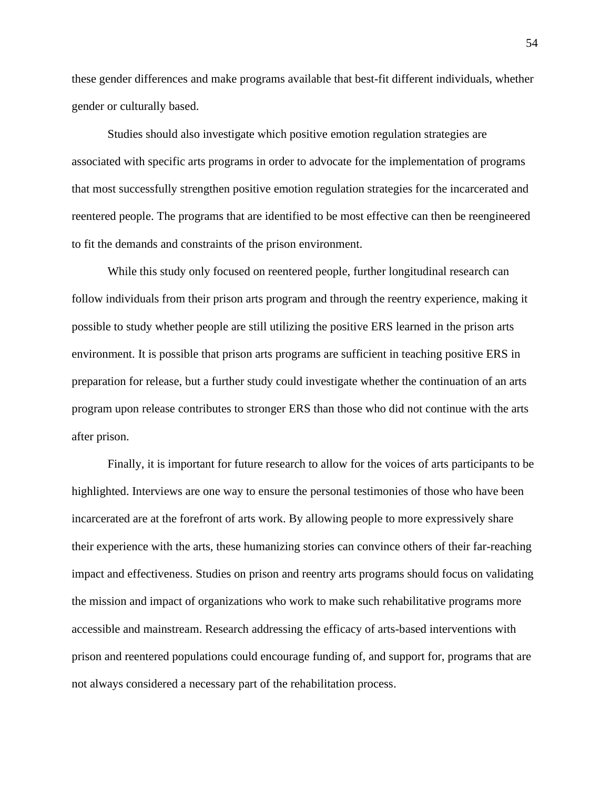these gender differences and make programs available that best-fit different individuals, whether gender or culturally based.

Studies should also investigate which positive emotion regulation strategies are associated with specific arts programs in order to advocate for the implementation of programs that most successfully strengthen positive emotion regulation strategies for the incarcerated and reentered people. The programs that are identified to be most effective can then be reengineered to fit the demands and constraints of the prison environment.

While this study only focused on reentered people, further longitudinal research can follow individuals from their prison arts program and through the reentry experience, making it possible to study whether people are still utilizing the positive ERS learned in the prison arts environment. It is possible that prison arts programs are sufficient in teaching positive ERS in preparation for release, but a further study could investigate whether the continuation of an arts program upon release contributes to stronger ERS than those who did not continue with the arts after prison.

Finally, it is important for future research to allow for the voices of arts participants to be highlighted. Interviews are one way to ensure the personal testimonies of those who have been incarcerated are at the forefront of arts work. By allowing people to more expressively share their experience with the arts, these humanizing stories can convince others of their far-reaching impact and effectiveness. Studies on prison and reentry arts programs should focus on validating the mission and impact of organizations who work to make such rehabilitative programs more accessible and mainstream. Research addressing the efficacy of arts-based interventions with prison and reentered populations could encourage funding of, and support for, programs that are not always considered a necessary part of the rehabilitation process.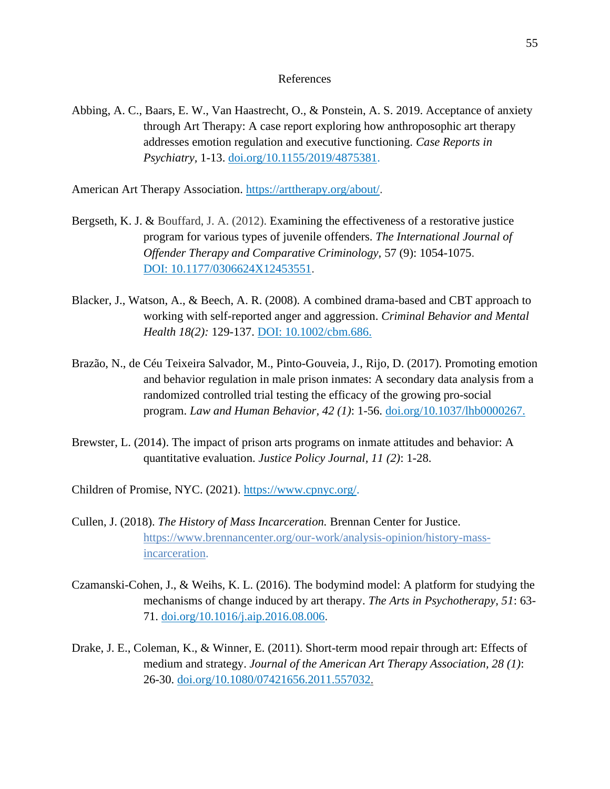#### References

Abbing, A. C., Baars, E. W., Van Haastrecht, O., & Ponstein, A. S. 2019. Acceptance of anxiety through Art Therapy: A case report exploring how anthroposophic art therapy addresses emotion regulation and executive functioning. *Case Reports in Psychiatry,* 1-13. [doi.org/10.1155/2019/4875381.](https://doi.org/10.1155/2019/4875381)

American Art Therapy Association. [https://arttherapy.org/about/.](https://arttherapy.org/about/)

- Bergseth, K. J. & Bouffard, J. A. (2012). Examining the effectiveness of a restorative justice program for various types of juvenile offenders. *The International Journal of Offender Therapy and Comparative Criminology,* 57 (9): 1054-1075. DOI: [10.1177/0306624X12453551.](https://doi.org/10.1177/0306624x12453551)
- Blacker, J., Watson, A., & Beech, A. R. (2008). A combined drama-based and CBT approach to working with self-reported anger and aggression. *Criminal Behavior and Mental Health 18(2):* 129-137. DOI: [10.1002/cbm.686.](https://doi.org/10.1002/cbm.686)
- Bra[zão,](https://www.researchgate.net/profile/Nelio-Brazao) N., de Céu Teixeira Salvador, M., Pinto-Gouveia, J., Rijo, D. (2017). Promoting emotion and behavior regulation in male prison inmates: A secondary data analysis from a randomized controlled trial testing the efficacy of the growing pro-social program. *Law and Human Behavior, 42 (1)*: 1-56. [doi.org/10.1037/lhb0000267.](https://doi.apa.org/doi/10.1037/lhb0000267)
- Brewster, L. (2014). The impact of prison arts programs on inmate attitudes and behavior: A quantitative evaluation. *Justice Policy Journal, 11 (2)*: 1-28.

Children of Promise, NYC. (2021). [https://www.cpnyc.org/.](https://www.cpnyc.org/)

- Cullen, J. (2018). *The History of Mass Incarceration.* Brennan Center for Justice. [https://www.brennancenter.org/our-work/analysis-opinion/history-mass](https://www.brennancenter.org/our-work/analysis-opinion/history-mass-%09%09%09%09incarceration)[incarceration.](https://www.brennancenter.org/our-work/analysis-opinion/history-mass-%09%09%09%09incarceration)
- Czamanski-Cohen, J., & Weihs, K. L. (2016). The bodymind model: A platform for studying the mechanisms of change induced by art therapy. *The Arts in Psychotherapy, 51*: 63- 71. [doi.org/10.1016/j.aip.2016.08.006.](https://doi.org/10.1016/j.aip.2016.08.006)
- Drake, J. E., Coleman, K., & Winner, E. (2011). Short-term mood repair through art: Effects of medium and strategy. *Journal of the American Art Therapy Association, 28 (1)*: 26-30. [doi.org/10.1080/07421656.2011.557032.](https://doi.org/10.1080/07421656.2011.557032)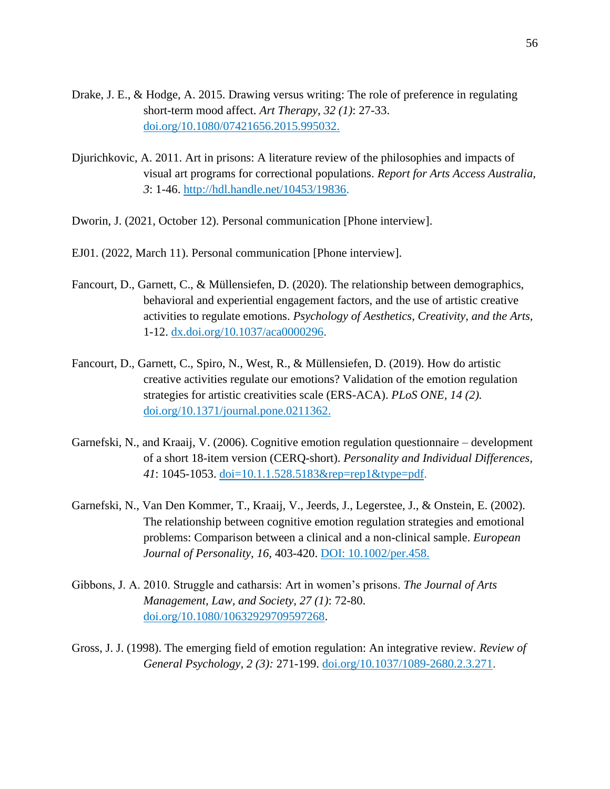- Drake, J. E., & Hodge, A. 2015. Drawing versus writing: The role of preference in regulating short-term mood affect. *Art Therapy, 32 (1)*: 27-33. [doi.org/10.1080/07421656.2015.995032.](https://doi.org/10.1080/07421656.2015.995032)
- Djurichkovic, A. 2011. Art in prisons: A literature review of the philosophies and impacts of visual art programs for correctional populations. *Report for Arts Access Australia, 3*: 1-46. [http://hdl.handle.net/10453/19836.](http://hdl.handle.net/10453/19836)
- Dworin, J. (2021, October 12). Personal communication [Phone interview].
- EJ01. (2022, March 11). Personal communication [Phone interview].
- Fancourt, D., Garnett, C., & [Müllensiefen,](https://psycnet.apa.org/search/results?latSearchType=a&term=M%C3%BCllensiefen%2C%20Daniel) D. (2020). The relationship between demographics, behavioral and experiential engagement factors, and the use of artistic creative activities to regulate emotions. *Psychology of Aesthetics, Creativity, and the Arts,*  1-12. [dx.doi.org/10.1037/aca0000296.](http://dx.doi.org/10.1037/aca0000296)
- Fancourt, D., Garnett, C., Spiro, N., West, R., & Müllensiefen, D. (2019). How do artistic creative activities regulate our emotions? Validation of the emotion regulation strategies for artistic creativities scale (ERS-ACA). *PLoS ONE, 14 (2).* [doi.org/10.1371/journal.pone.0211362.](https://doi.org/10.1371/journal.pone.0211362)
- Garnefski, N., and Kraaij, V. (2006). Cognitive emotion regulation questionnaire development of a short 18-item version (CERQ-short). *Personality and Individual Differences, 41*: 1045-1053. doi=10.1.1.528.5183&rep=rep1&type=pdf.
- Garnefski, N., Van Den Kommer, T., Kraaij, V., Jeerds, J., Legerstee, J., & Onstein, E. (2002). The relationship between cognitive emotion regulation strategies and emotional problems: Comparison between a clinical and a non-clinical sample. *European Journal of Personality, 16,* 403-420. DOI: 10.1002/per.458.
- Gibbons, J. A. 2010. Struggle and catharsis: Art in women's prisons. *The Journal of Arts Management, Law, and Society, 27 (1)*: 72-80. [doi.org/10.1080/10632929709597268.](https://doi.org/10.1080/10632929709597268)
- Gross, J. J. (1998). The emerging field of emotion regulation: An integrative review. *Review of General Psychology, 2 (3):* 271-199. [doi.org/10.1037/1089-2680.2.3.271.](https://doi.org/10.1037%2F1089-2680.2.3.271)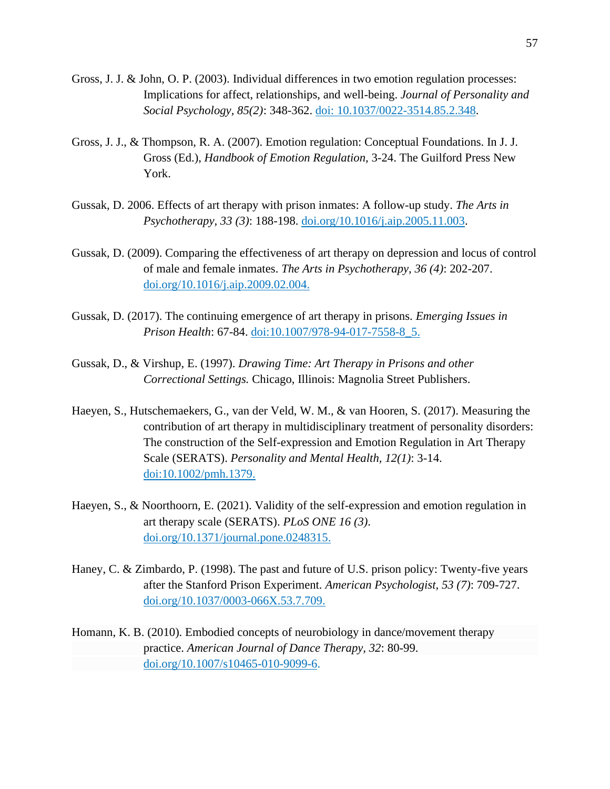- Gross, J. J. & John, O. P. (2003). Individual differences in two emotion regulation processes: Implications for affect, relationships, and well-being. *Journal of Personality and Social Psychology, 85(2)*: 348-362. doi: [10.1037/0022-3514.85.2.348.](https://doi.org/10.1037/0022-3514.85.2.348)
- Gross, J. J., & Thompson, R. A. (2007). Emotion regulation: Conceptual Foundations. In J. J. Gross (Ed.), *Handbook of Emotion Regulation,* 3-24. The Guilford Press New York.
- Gussak, D. 2006. Effects of art therapy with prison inmates: A follow-up study. *The Arts in Psychotherapy, 33 (3)*: 188-198. [doi.org/10.1016/j.aip.2005.11.003.](https://doi.org/10.1016/j.aip.2005.11.003)
- Gussak, D. (2009). Comparing the effectiveness of art therapy on depression and locus of control of male and female inmates. *The Arts in Psychotherapy, 36 (4)*: 202-207. [doi.org/10.1016/j.aip.2009.02.004.](https://doi.org/10.1016/j.aip.2009.02.004)
- Gussak, D. (2017). The continuing emergence of art therapy in prisons. *Emerging Issues in Prison Health*: 67-84. doi[:10.1007/978-94-017-7558-8\\_5.](http://dx.doi.org/10.1007/978-94-017-7558-8_5)
- Gussak, D., & Virshup, E. (1997). *Drawing Time: Art Therapy in Prisons and other Correctional Settings.* Chicago, Illinois: Magnolia Street Publishers.
- Haeyen, S., Hutschemaekers, G., van der Veld, W. M., & van Hooren, S. (2017). Measuring the contribution of art therapy in multidisciplinary treatment of personality disorders: The construction of the Self-expression and Emotion Regulation in Art Therapy Scale (SERATS). *Personality and Mental Health, 12(1)*: 3-14. doi[:10.1002/pmh.1379.](https://doi.org/10.1002/pmh.1379)
- Haeyen, S., & Noorthoorn, E. (2021). Validity of the self-expression and emotion regulation in art therapy scale (SERATS). *PLoS ONE 16 (3)*. [doi.org/10.1371/journal.pone.0248315.](https://doi.org/10.1371/journal.pone.0248315)
- Haney, C. & Zimbardo, P. (1998). The past and future of U.S. prison policy: Twenty-five years after the Stanford Prison Experiment. *American Psychologist, 53 (7)*: 709-727. [doi.org/10.1037/0003-066X.53.7.709.](https://psycnet.apa.org/doi/10.1037/0003-066X.53.7.709)
- Homann, K. B. (2010). Embodied concepts of neurobiology in dance/movement therapy practice. *American Journal of Dance Therapy, 32*: 80-99. [doi.org/10.1007/s10465-010-9099-6.](https://doi.org/10.1007/s10465-010-9099-6)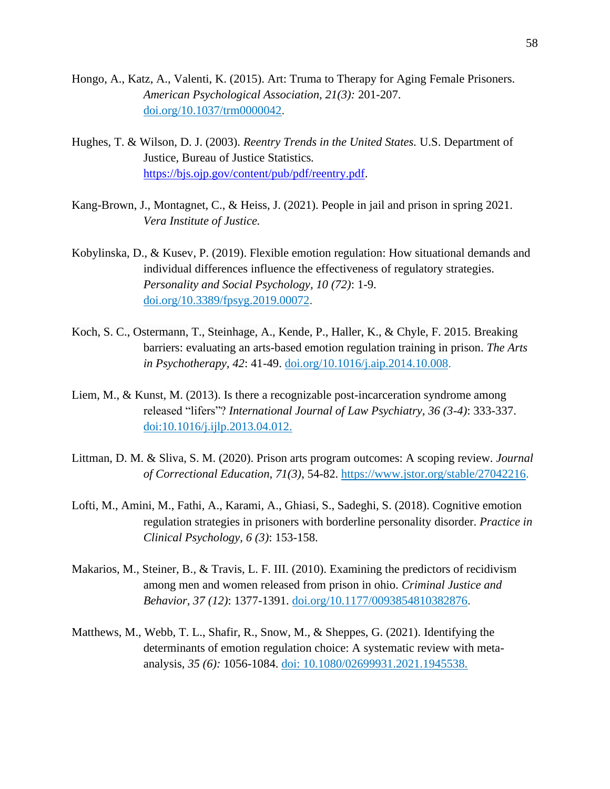- Hongo, A., Katz, A., Valenti, K. (2015). Art: Truma to Therapy for Aging Female Prisoners. *American Psychological Association, 21(3):* 201-207. [doi.org/10.1037/trm0000042.](https://doi.apa.org/doi/10.1037/trm0000042)
- Hughes, T. & Wilson, D. J. (2003). *Reentry Trends in the United States.* U.S. Department of Justice, Bureau of Justice Statistics*.*  [https://bjs.ojp.gov/content/pub/pdf/reentry.pdf.](https://bjs.ojp.gov/content/pub/pdf/reentry.pdf)
- Kang-Brown, J., Montagnet, C., & Heiss, J. (2021). People in jail and prison in spring 2021. *Vera Institute of Justice.*
- Kobylinska, D., & Kusev, P. (2019). Flexible emotion regulation: How situational demands and individual differences influence the effectiveness of regulatory strategies. *Personality and Social Psychology, 10 (72)*: 1-9. [doi.org/10.3389/fpsyg.2019.00072.](https://doi.org/10.3389/fpsyg.2019.00072)
- Koch, S. C., Ostermann, T., Steinhage, A., Kende, P., Haller, K., & Chyle, F. 2015. Breaking barriers: evaluating an arts-based emotion regulation training in prison. *The Arts in Psychotherapy, 42*: 41-49. [doi.org/10.1016/j.aip.2014.10.008.](https://doi.org/10.1016/j.aip.2014.10.008)
- Liem, M., & Kunst, M. (2013). Is there a recognizable post-incarceration syndrome among released "lifers"? *International Journal of Law Psychiatry, 36 (3-4)*: 333-337. doi[:10.1016/j.ijlp.2013.04.012.](https://doi.org/10.1016/j.ijlp.2013.04.012)
- Littman, D. M. & Sliva, S. M. (2020). Prison arts program outcomes: A scoping review. *Journal of Correctional Education, 71(3)*, 54-82[.](https://www.jstor.org/stable/27042216) [https://www.jstor.org/stable/27042216.](https://www.jstor.org/stable/27042216)
- Lofti, M., Amini, M., Fathi, A., Karami, A., Ghiasi, S., Sadeghi, S. (2018). Cognitive emotion regulation strategies in prisoners with borderline personality disorder. *Practice in Clinical Psychology, 6 (3)*: 153-158.
- Makarios, M., Steiner, B., & Travis, L. F. III. (2010). Examining the predictors of recidivism among men and women released from prison in ohio. *Criminal Justice and Behavior, 37 (12)*: 1377-1391. [doi.org/10.1177/0093854810382876.](https://doi.org/10.1177%2F0093854810382876)
- Matthews, M., Webb, T. L., Shafir, R., Snow, M., & Sheppes, G. (2021). Identifying the determinants of emotion regulation choice: A systematic review with metaanalysis, *35 (6):* 1056-1084. doi: 10.1080/02699931.2021.1945538.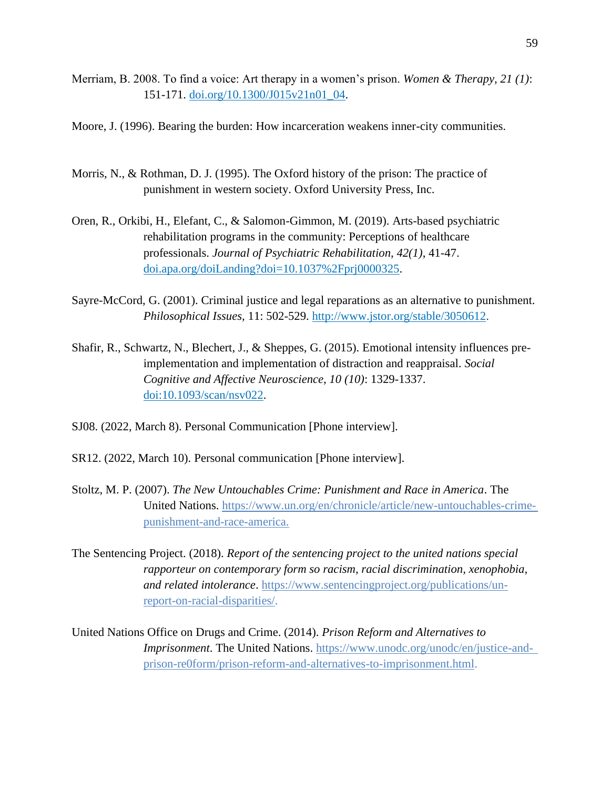Merriam, B. 2008. To find a voice: Art therapy in a women's prison. *Women & Therapy, 21 (1)*: 151-171. [doi.org/10.1300/J015v21n01\\_04.](https://doi.org/10.1300/J015v21n01_04)

Moore, J. (1996). Bearing the burden: How incarceration weakens inner-city communities.

- Morris, N., & Rothman, D. J. (1995). The Oxford history of the prison: The practice of punishment in western society. Oxford University Press, Inc.
- Oren, R., Orkibi, H., Elefant, C., & Salomon-Gimmon, M. (2019). Arts-based psychiatric rehabilitation programs in the community: Perceptions of healthcare professionals. *Journal of Psychiatric Rehabilitation, 42(1)*, 41-47. [doi.apa.org/doiLanding?doi=10.1037%2Fprj0000325.](https://doi.apa.org/doiLanding?doi=10.1037%2Fprj0000325)
- Sayre-McCord, G. (2001). Criminal justice and legal reparations as an alternative to punishment. *Philosophical Issues,* 11: 502-529. [http://www.jstor.org/stable/3050612.](http://www.jstor.org/stable/3050612)
- Shafir, R., Schwartz, N., Blechert, J., & Sheppes, G. (2015). Emotional intensity influences preimplementation and implementation of distraction and reappraisal. *Social Cognitive and Affective Neuroscience, 10 (10)*: 1329-1337. doi[:10.1093/scan/nsv022.](https://dx.doi.org/10.1093%2Fscan%2Fnsv022)
- SJ08. (2022, March 8). Personal Communication [Phone interview].
- SR12. (2022, March 10). Personal communication [Phone interview].
- Stoltz, M. P. (2007). *The New Untouchables Crime: Punishment and Race in America*. The United Nations. [https://www.un.org/en/chronicle/article/new-untouchables-crime](https://www.un.org/en/chronicle/article/new-untouchables-crime-%09%09%09punishment-and-race-america)[punishment-and-race-america.](https://www.un.org/en/chronicle/article/new-untouchables-crime-%09%09%09punishment-and-race-america)
- The Sentencing Project. (2018). *Report of the sentencing project to the united nations special rapporteur on contemporary form so racism, racial discrimination, xenophobia, and related intolerance*. [https://www.sentencingproject.org/publications/un](https://www.sentencingproject.org/publications/un-%09%09%09report-on-racial-dispar)[report-on-racial-dispar](https://www.sentencingproject.org/publications/un-%09%09%09report-on-racial-dispar)[ities/.](https://www.sentencingproject.org/publications/un-report-on-racial-disparities/)

United Nations Office on Drugs and Crime. (2014). *Prison Reform and Alternatives to Imprisonment*. The United Nations. [https://www.unodc.org/unodc/en/justice-and](https://www.unodc.org/unodc/en/justice-and-%09%09%09prison-re0form/prison-reform-and-alternatives-to-imprisonment.html)[prison-re0form/prison-reform-and-alternatives-to-imprisonment.html.](https://www.unodc.org/unodc/en/justice-and-%09%09%09prison-re0form/prison-reform-and-alternatives-to-imprisonment.html)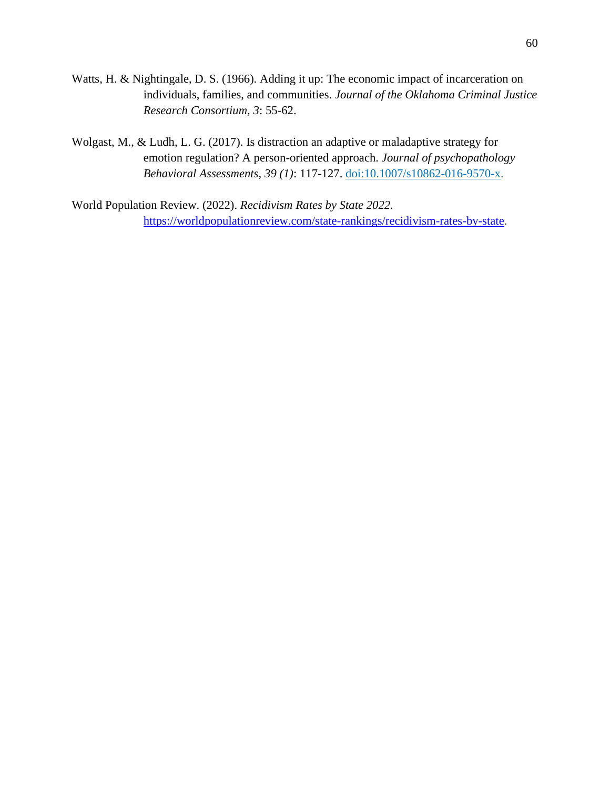- Watts, H. & Nightingale, D. S. (1966). Adding it up: The economic impact of incarceration on individuals, families, and communities. *Journal of the Oklahoma Criminal Justice Research Consortium, 3*: 55-62.
- Wolgast, M., & Ludh, L. G. (2017). Is distraction an adaptive or maladaptive strategy for emotion regulation? A person-oriented approach. *Journal of psychopathology Behavioral Assessments, 39 (1)*: 117-127. doi:10.1007/s10862-016-9570-x.

World Population Review. (2022). *Recidivism Rates by State 2022.*  [https://worldpopulationreview.com/state-rankings/recidivism-rates-by-state.](https://worldpopulationreview.com/state-rankings/recidivism-rates-by-state)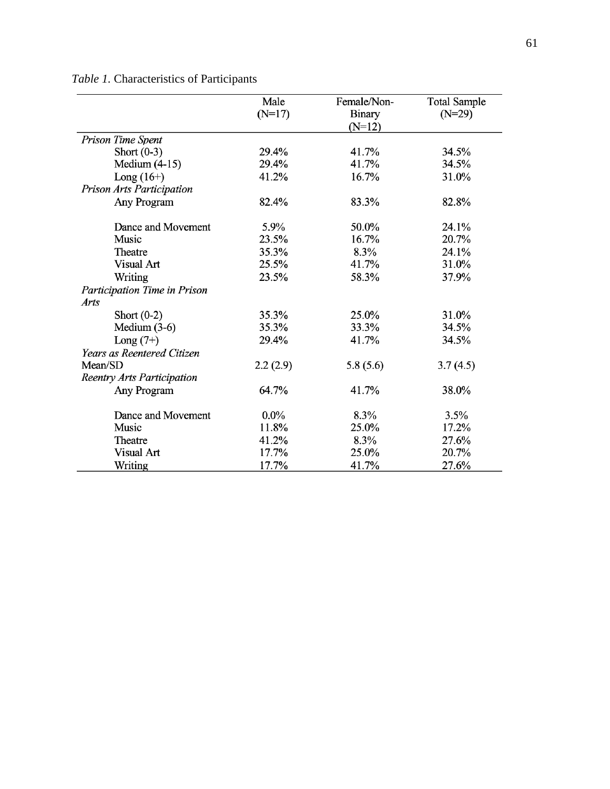| Table 1. Characteristics of Participants |  |
|------------------------------------------|--|
|------------------------------------------|--|

|                                   | Male     | Female/Non-   | <b>Total Sample</b> |
|-----------------------------------|----------|---------------|---------------------|
|                                   | $(N=17)$ | <b>Binary</b> | $(N=29)$            |
|                                   |          | $(N=12)$      |                     |
| Prison Time Spent                 |          |               |                     |
| Short $(0-3)$                     | 29.4%    | 41.7%         | 34.5%               |
| Medium $(4-15)$                   | 29.4%    | 41.7%         | 34.5%               |
| Long $(16+)$                      | 41.2%    | 16.7%         | 31.0%               |
| Prison Arts Participation         |          |               |                     |
| Any Program                       | 82.4%    | 83.3%         | 82.8%               |
| Dance and Movement                | 5.9%     | 50.0%         | 24.1%               |
| Music                             | 23.5%    | 16.7%         | 20.7%               |
| Theatre                           | 35.3%    | 8.3%          | 24.1%               |
| Visual Art                        | 25.5%    | 41.7%         | 31.0%               |
| Writing                           | 23.5%    | 58.3%         | 37.9%               |
| Participation Time in Prison      |          |               |                     |
| Arts                              |          |               |                     |
| Short $(0-2)$                     | 35.3%    | 25.0%         | 31.0%               |
| Medium $(3-6)$                    | 35.3%    | 33.3%         | 34.5%               |
| Long $(7+)$                       | 29.4%    | 41.7%         | 34.5%               |
| Years as Reentered Citizen        |          |               |                     |
| Mean/SD                           | 2.2(2.9) | 5.8(5.6)      | 3.7(4.5)            |
| <b>Reentry Arts Participation</b> |          |               |                     |
| Any Program                       | 64.7%    | 41.7%         | 38.0%               |
| Dance and Movement                | $0.0\%$  | 8.3%          | 3.5%                |
| Music                             | 11.8%    | 25.0%         | 17.2%               |
| Theatre                           | 41.2%    | 8.3%          | 27.6%               |
| Visual Art                        | 17.7%    | 25.0%         | 20.7%               |
| Writing                           | 17.7%    | 41.7%         | 27.6%               |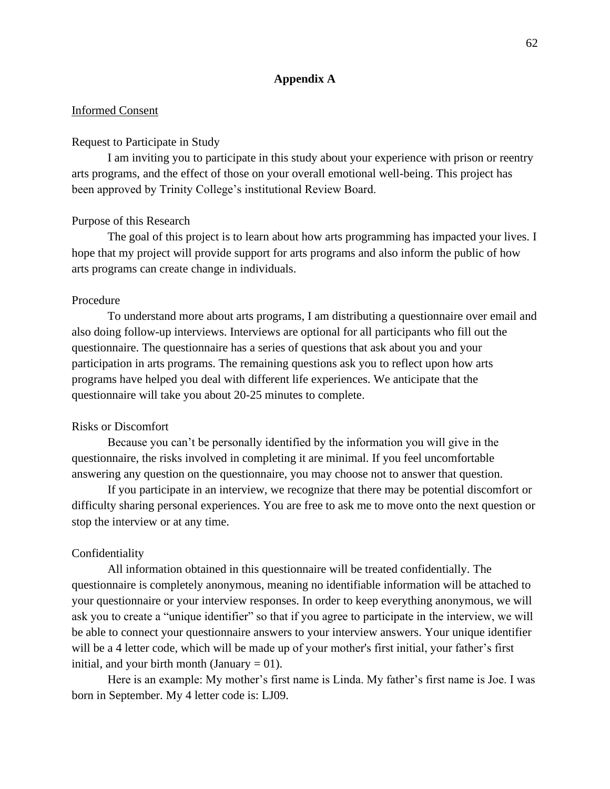# **Appendix A**

# Informed Consent

# Request to Participate in Study

I am inviting you to participate in this study about your experience with prison or reentry arts programs, and the effect of those on your overall emotional well-being. This project has been approved by Trinity College's institutional Review Board.

#### Purpose of this Research

The goal of this project is to learn about how arts programming has impacted your lives. I hope that my project will provide support for arts programs and also inform the public of how arts programs can create change in individuals.

#### Procedure

To understand more about arts programs, I am distributing a questionnaire over email and also doing follow-up interviews. Interviews are optional for all participants who fill out the questionnaire. The questionnaire has a series of questions that ask about you and your participation in arts programs. The remaining questions ask you to reflect upon how arts programs have helped you deal with different life experiences. We anticipate that the questionnaire will take you about 20-25 minutes to complete.

# Risks or Discomfort

Because you can't be personally identified by the information you will give in the questionnaire, the risks involved in completing it are minimal. If you feel uncomfortable answering any question on the questionnaire, you may choose not to answer that question.

If you participate in an interview, we recognize that there may be potential discomfort or difficulty sharing personal experiences. You are free to ask me to move onto the next question or stop the interview or at any time.

# Confidentiality

All information obtained in this questionnaire will be treated confidentially. The questionnaire is completely anonymous, meaning no identifiable information will be attached to your questionnaire or your interview responses. In order to keep everything anonymous, we will ask you to create a "unique identifier" so that if you agree to participate in the interview, we will be able to connect your questionnaire answers to your interview answers. Your unique identifier will be a 4 letter code, which will be made up of your mother's first initial, your father's first initial, and your birth month (January  $= 01$ ).

Here is an example: My mother's first name is Linda. My father's first name is Joe. I was born in September. My 4 letter code is: LJ09.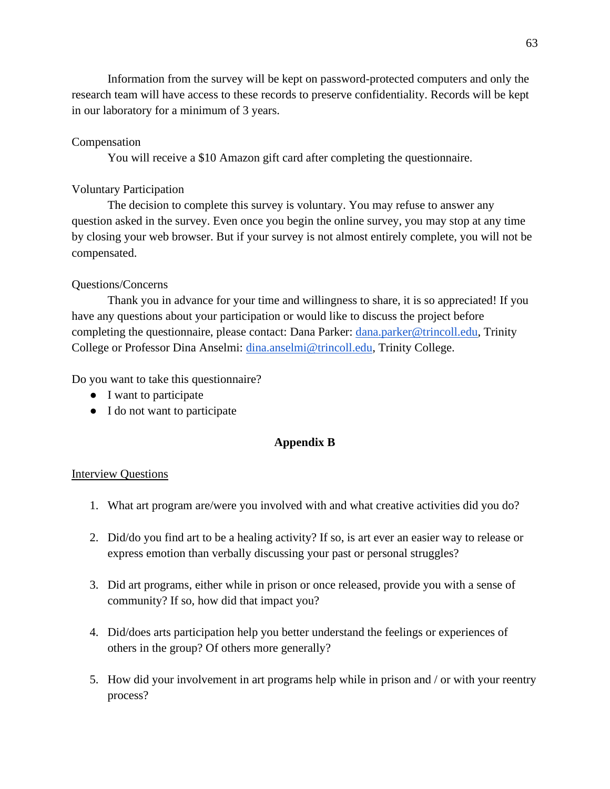Information from the survey will be kept on password-protected computers and only the research team will have access to these records to preserve confidentiality. Records will be kept in our laboratory for a minimum of 3 years.

# Compensation

You will receive a \$10 Amazon gift card after completing the questionnaire.

# Voluntary Participation

The decision to complete this survey is voluntary. You may refuse to answer any question asked in the survey. Even once you begin the online survey, you may stop at any time by closing your web browser. But if your survey is not almost entirely complete, you will not be compensated.

# Questions/Concerns

Thank you in advance for your time and willingness to share, it is so appreciated! If you have any questions about your participation or would like to discuss the project before completing the questionnaire, please contact: Dana Parker: *dana.parker@trincoll.edu*, Trinity College or Professor Dina Anselmi: [dina.anselmi@trincoll.edu,](mailto:dina.anselmi@trincoll.edu) Trinity College.

Do you want to take this questionnaire?

- I want to participate
- I do not want to participate

# **Appendix B**

# Interview Questions

- 1. What art program are/were you involved with and what creative activities did you do?
- 2. Did/do you find art to be a healing activity? If so, is art ever an easier way to release or express emotion than verbally discussing your past or personal struggles?
- 3. Did art programs, either while in prison or once released, provide you with a sense of community? If so, how did that impact you?
- 4. Did/does arts participation help you better understand the feelings or experiences of others in the group? Of others more generally?
- 5. How did your involvement in art programs help while in prison and / or with your reentry process?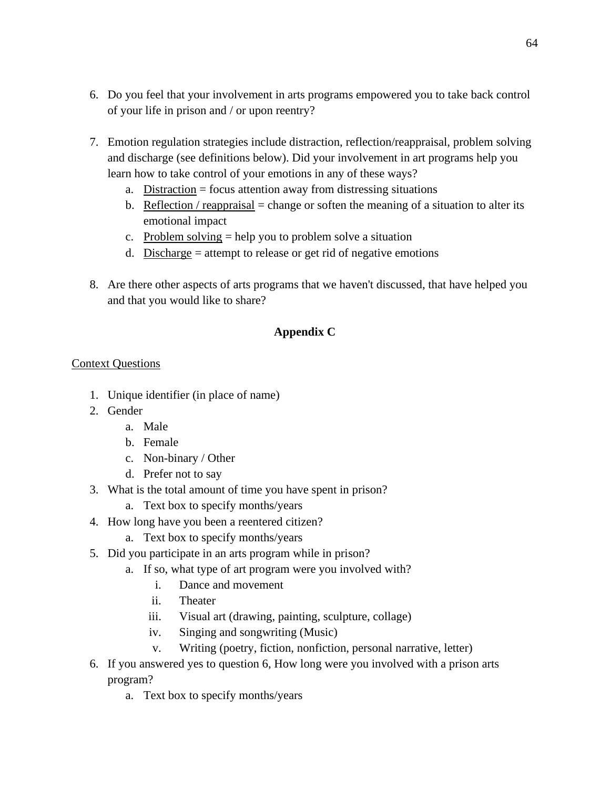- 6. Do you feel that your involvement in arts programs empowered you to take back control of your life in prison and / or upon reentry?
- 7. Emotion regulation strategies include distraction, reflection/reappraisal, problem solving and discharge (see definitions below). Did your involvement in art programs help you learn how to take control of your emotions in any of these ways?
	- a. Distraction = focus attention away from distressing situations
	- b. Reflection / reappraisal = change or soften the meaning of a situation to alter its emotional impact
	- c. Problem solving = help you to problem solve a situation
	- d. Discharge = attempt to release or get rid of negative emotions
- 8. Are there other aspects of arts programs that we haven't discussed, that have helped you and that you would like to share?

# **Appendix C**

# Context Questions

- 1. Unique identifier (in place of name)
- 2. Gender
	- a. Male
	- b. Female
	- c. Non-binary / Other
	- d. Prefer not to say
- 3. What is the total amount of time you have spent in prison?
	- a. Text box to specify months/years
- 4. How long have you been a reentered citizen?
	- a. Text box to specify months/years
- 5. Did you participate in an arts program while in prison?
	- a. If so, what type of art program were you involved with?
		- i. Dance and movement
		- ii. Theater
		- iii. Visual art (drawing, painting, sculpture, collage)
		- iv. Singing and songwriting (Music)
		- v. Writing (poetry, fiction, nonfiction, personal narrative, letter)
- 6. If you answered yes to question 6, How long were you involved with a prison arts program?
	- a. Text box to specify months/years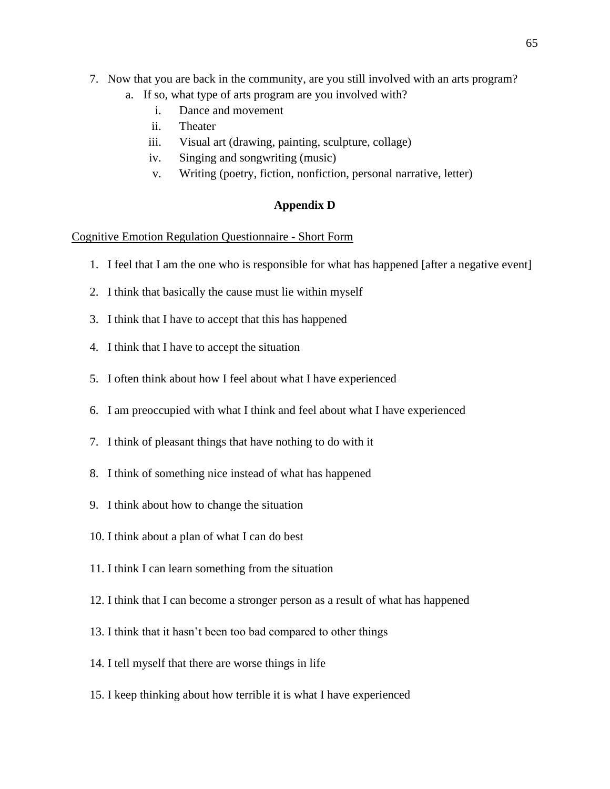- 7. Now that you are back in the community, are you still involved with an arts program?
	- a. If so, what type of arts program are you involved with?
		- i. Dance and movement
		- ii. Theater
		- iii. Visual art (drawing, painting, sculpture, collage)
		- iv. Singing and songwriting (music)
		- v. Writing (poetry, fiction, nonfiction, personal narrative, letter)

# **Appendix D**

# Cognitive Emotion Regulation Questionnaire - Short Form

- 1. I feel that I am the one who is responsible for what has happened [after a negative event]
- 2. I think that basically the cause must lie within myself
- 3. I think that I have to accept that this has happened
- 4. I think that I have to accept the situation
- 5. I often think about how I feel about what I have experienced
- 6. I am preoccupied with what I think and feel about what I have experienced
- 7. I think of pleasant things that have nothing to do with it
- 8. I think of something nice instead of what has happened
- 9. I think about how to change the situation
- 10. I think about a plan of what I can do best
- 11. I think I can learn something from the situation
- 12. I think that I can become a stronger person as a result of what has happened
- 13. I think that it hasn't been too bad compared to other things
- 14. I tell myself that there are worse things in life
- 15. I keep thinking about how terrible it is what I have experienced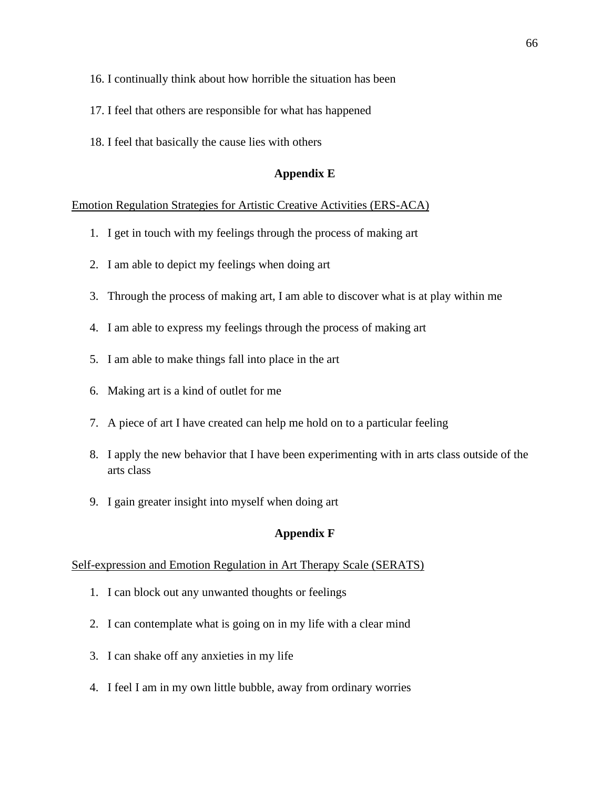- 16. I continually think about how horrible the situation has been
- 17. I feel that others are responsible for what has happened
- 18. I feel that basically the cause lies with others

# **Appendix E**

# Emotion Regulation Strategies for Artistic Creative Activities (ERS-ACA)

- 1. I get in touch with my feelings through the process of making art
- 2. I am able to depict my feelings when doing art
- 3. Through the process of making art, I am able to discover what is at play within me
- 4. I am able to express my feelings through the process of making art
- 5. I am able to make things fall into place in the art
- 6. Making art is a kind of outlet for me
- 7. A piece of art I have created can help me hold on to a particular feeling
- 8. I apply the new behavior that I have been experimenting with in arts class outside of the arts class
- 9. I gain greater insight into myself when doing art

# **Appendix F**

# Self-expression and Emotion Regulation in Art Therapy Scale (SERATS)

- 1. I can block out any unwanted thoughts or feelings
- 2. I can contemplate what is going on in my life with a clear mind
- 3. I can shake off any anxieties in my life
- 4. I feel I am in my own little bubble, away from ordinary worries